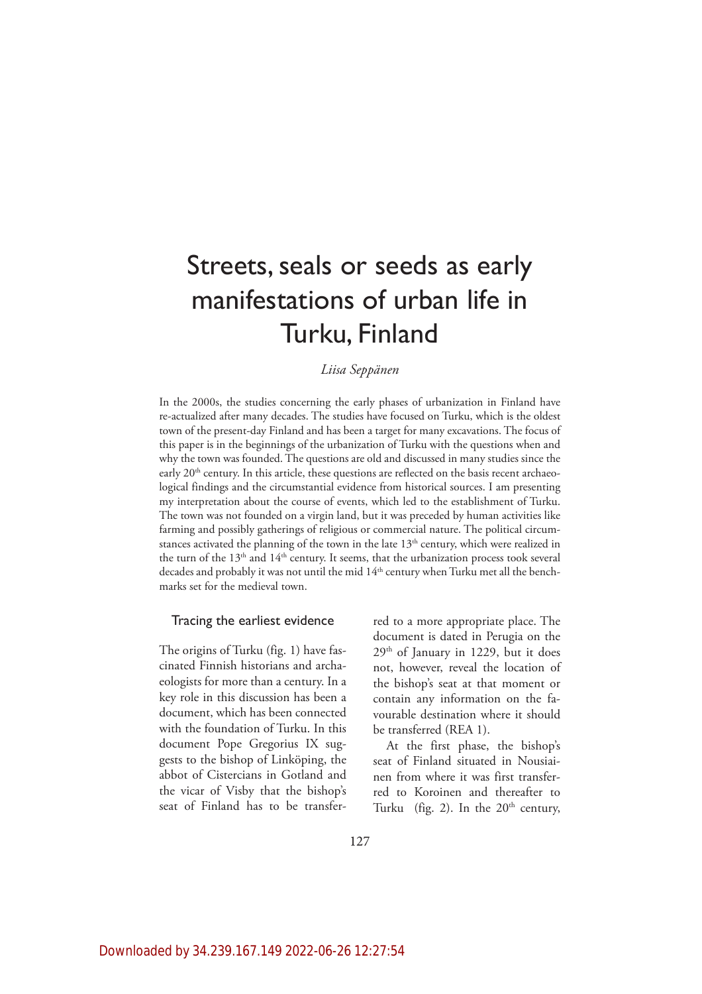# Streets, seals or seeds as early manifestations of urban life in Turku, Finland

# *Liisa Seppänen*

In the 2000s, the studies concerning the early phases of urbanization in Finland have re-actualized after many decades. The studies have focused on Turku, which is the oldest town of the present-day Finland and has been a target for many excavations. The focus of this paper is in the beginnings of the urbanization of Turku with the questions when and why the town was founded. The questions are old and discussed in many studies since the early  $20<sup>th</sup>$  century. In this article, these questions are reflected on the basis recent archaeological findings and the circumstantial evidence from historical sources. I am presenting my interpretation about the course of events, which led to the establishment of Turku. The town was not founded on a virgin land, but it was preceded by human activities like farming and possibly gatherings of religious or commercial nature. The political circumstances activated the planning of the town in the late  $13<sup>th</sup>$  century, which were realized in the turn of the  $13<sup>th</sup>$  and  $14<sup>th</sup>$  century. It seems, that the urbanization process took several decades and probably it was not until the mid  $14<sup>th</sup>$  century when Turku met all the benchmarks set for the medieval town.

## Tracing the earliest evidence

The origins of Turku (fig. 1) have fascinated Finnish historians and archaeologists for more than a century. In a key role in this discussion has been a document, which has been connected with the foundation of Turku. In this document Pope Gregorius IX suggests to the bishop of Linköping, the abbot of Cistercians in Gotland and the vicar of Visby that the bishop's seat of Finland has to be transfer-

red to a more appropriate place. The document is dated in Perugia on the 29th of January in 1229, but it does not, however, reveal the location of the bishop's seat at that moment or contain any information on the favourable destination where it should be transferred (REA 1).

At the first phase, the bishop's seat of Finland situated in Nousiainen from where it was first transferred to Koroinen and thereafter to Turku (fig. 2). In the  $20<sup>th</sup>$  century,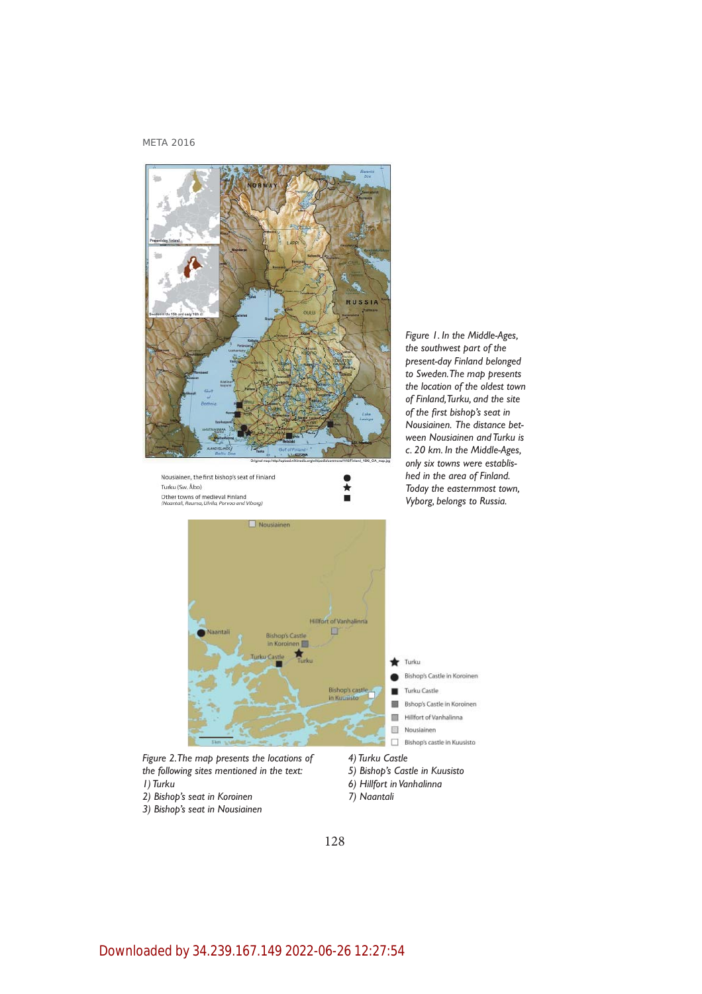

*Figure 1. In the Middle-Ages, the southwest part of the present-day Finland belonged to Sweden. The map presents the location of the oldest town of Finland, Turku, and the site of the fi rst bishop's seat in Nousiainen. The distance between Nousiainen and Turku is c. 20 km. In the Middle-Ages, only six towns were established in the area of Finland. Today the easternmost town, Vyborg, belongs to Russia.* 



Ĭ

*the following sites mentioned in the text: 1) Turku*

*2) Bishop's seat in Koroinen*

Turku (Sw. Åbo)

Other towns of medieval Finland<br>(Naantali, Rauma, Ulvila, Porvoo and Viborg)

*3) Bishop's seat in Nousiainen*

*7) Naantali*

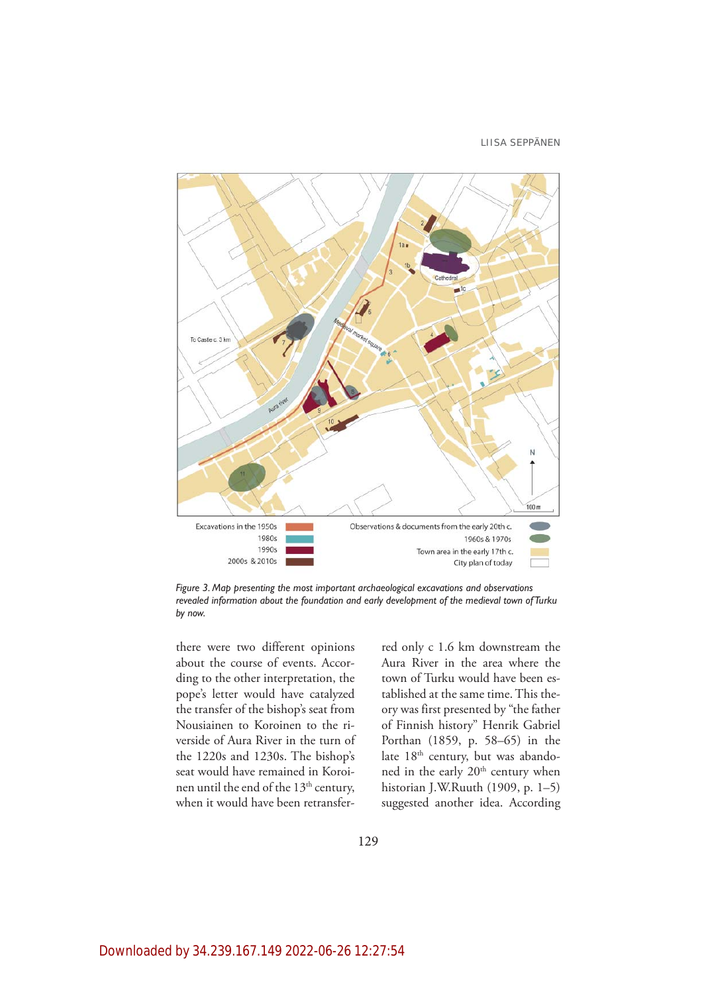

*Figure 3. Map presenting the most important archaeological excavations and observations revealed information about the foundation and early development of the medieval town of Turku by now.* 

there were two different opinions about the course of events. According to the other interpretation, the pope's letter would have catalyzed the transfer of the bishop's seat from Nousiainen to Koroinen to the riverside of Aura River in the turn of the 1220s and 1230s. The bishop's seat would have remained in Koroinen until the end of the 13th century, when it would have been retransferred only c 1.6 km downstream the Aura River in the area where the town of Turku would have been established at the same time. This theory was first presented by "the father of Finnish history" Henrik Gabriel Porthan (1859, p. 58–65) in the late 18<sup>th</sup> century, but was abandoned in the early 20<sup>th</sup> century when historian J.W.Ruuth (1909, p. 1–5) suggested another idea. According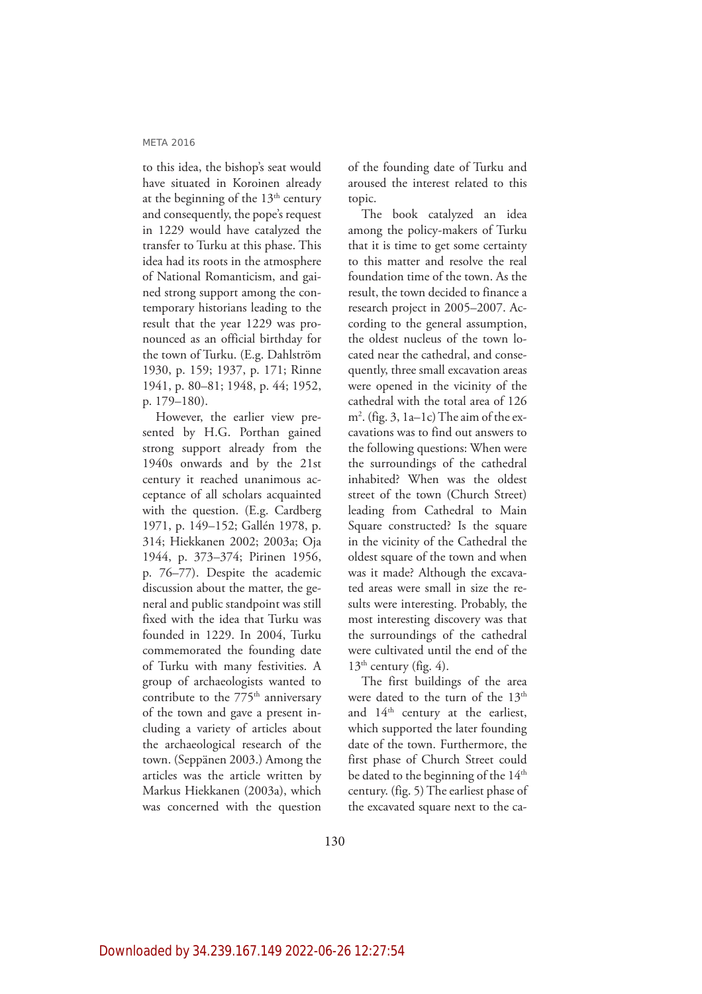to this idea, the bishop's seat would have situated in Koroinen already at the beginning of the  $13<sup>th</sup>$  century and consequently, the pope's request in 1229 would have catalyzed the transfer to Turku at this phase. This idea had its roots in the atmosphere of National Romanticism, and gained strong support among the contemporary historians leading to the result that the year 1229 was pronounced as an official birthday for the town of Turku. (E.g. Dahlström 1930, p. 159; 1937, p. 171; Rinne 1941, p. 80–81; 1948, p. 44; 1952, p. 179–180).

However, the earlier view presented by H.G. Porthan gained strong support already from the 1940s onwards and by the 21st century it reached unanimous acceptance of all scholars acquainted with the question. (E.g. Cardberg 1971, p. 149–152; Gallén 1978, p. 314; Hiekkanen 2002; 2003a; Oja 1944, p. 373–374; Pirinen 1956, p. 76–77). Despite the academic discussion about the matter, the general and public standpoint was still fixed with the idea that Turku was founded in 1229. In 2004, Turku commemorated the founding date of Turku with many festivities. A group of archaeologists wanted to contribute to the  $775<sup>th</sup>$  anniversary of the town and gave a present including a variety of articles about the archaeological research of the town. (Seppänen 2003.) Among the articles was the article written by Markus Hiekkanen (2003a), which was concerned with the question of the founding date of Turku and aroused the interest related to this topic.

The book catalyzed an idea among the policy-makers of Turku that it is time to get some certainty to this matter and resolve the real foundation time of the town. As the result, the town decided to finance a research project in 2005–2007. According to the general assumption, the oldest nucleus of the town located near the cathedral, and consequently, three small excavation areas were opened in the vicinity of the cathedral with the total area of 126 m2 . (fig. 3, 1a–1c) The aim of the excavations was to find out answers to the following questions: When were the surroundings of the cathedral inhabited? When was the oldest street of the town (Church Street) leading from Cathedral to Main Square constructed? Is the square in the vicinity of the Cathedral the oldest square of the town and when was it made? Although the excavated areas were small in size the results were interesting. Probably, the most interesting discovery was that the surroundings of the cathedral were cultivated until the end of the  $13<sup>th</sup>$  century (fig. 4).

The first buildings of the area were dated to the turn of the 13<sup>th</sup> and 14<sup>th</sup> century at the earliest, which supported the later founding date of the town. Furthermore, the first phase of Church Street could be dated to the beginning of the 14<sup>th</sup> century. (fig. 5) The earliest phase of the excavated square next to the ca-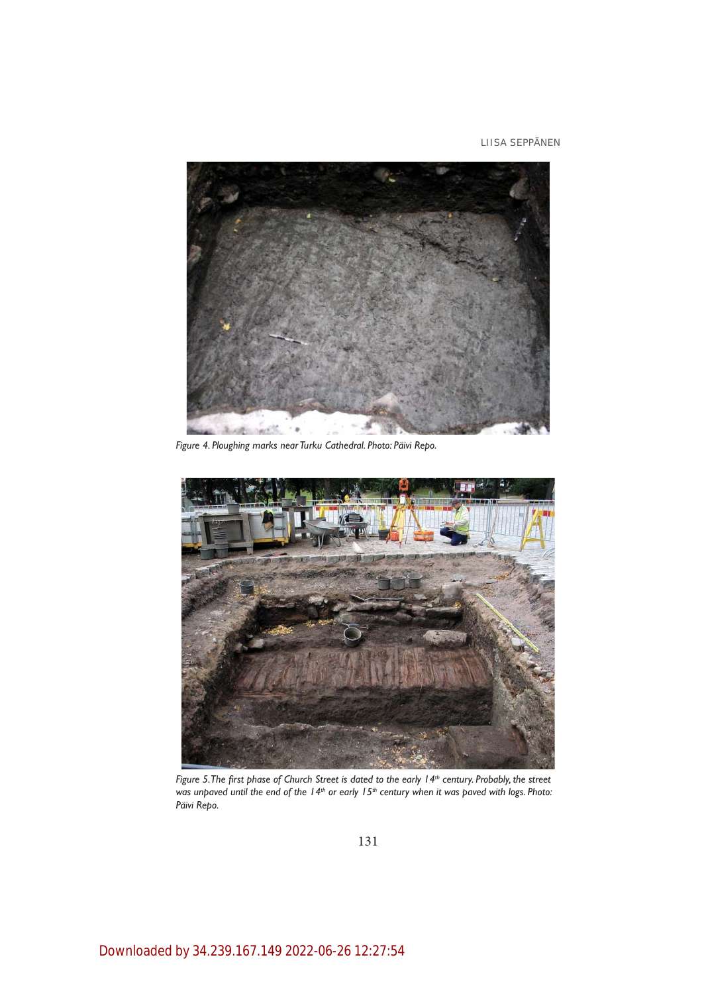

*Figure 4. Ploughing marks near Turku Cathedral. Photo: Päivi Repo.* 



*Figure 5. The first phase of Church Street is dated to the early 14<sup>th</sup> century. Probably, the street* was unpaved until the end of the 14<sup>th</sup> or early 15<sup>th</sup> century when it was paved with logs. Photo: *Päivi Repo.* 

131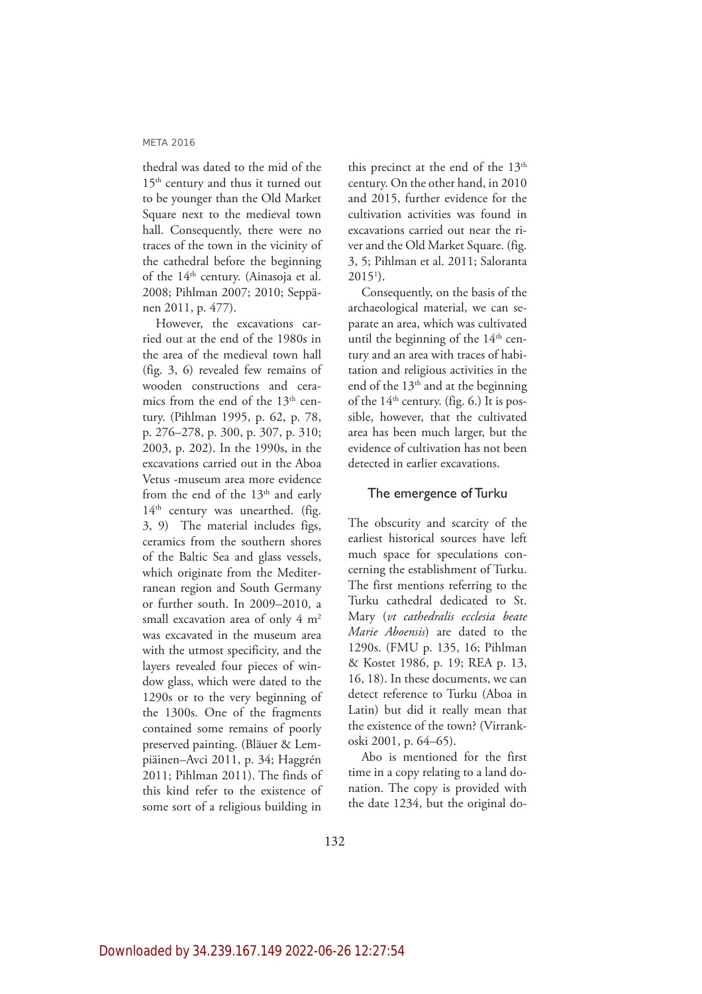thedral was dated to the mid of the 15<sup>th</sup> century and thus it turned out to be younger than the Old Market Square next to the medieval town hall. Consequently, there were no traces of the town in the vicinity of the cathedral before the beginning of the  $14<sup>th</sup>$  century. (Ainasoja et al. 2008; Pihlman 2007; 2010; Seppänen 2011, p. 477).

However, the excavations carried out at the end of the 1980s in the area of the medieval town hall (fig. 3, 6) revealed few remains of wooden constructions and ceramics from the end of the  $13<sup>th</sup>$  century. (Pihlman 1995, p. 62, p. 78, p. 276–278, p. 300, p. 307, p. 310; 2003, p. 202). In the 1990s, in the excavations carried out in the Aboa Vetus -museum area more evidence from the end of the  $13<sup>th</sup>$  and early  $14<sup>th</sup>$  century was unearthed. (fig. 3, 9) The material includes figs, ceramics from the southern shores of the Baltic Sea and glass vessels, which originate from the Mediterranean region and South Germany or further south. In 2009–2010, a small excavation area of only  $4 \text{ m}^2$ was excavated in the museum area with the utmost specificity, and the layers revealed four pieces of window glass, which were dated to the 1290s or to the very beginning of the 1300s. One of the fragments contained some remains of poorly preserved painting. (Bläuer & Lempiäinen–Avci 2011, p. 34; Haggrén 2011; Pihlman 2011). The finds of this kind refer to the existence of some sort of a religious building in

this precinct at the end of the  $13<sup>th</sup>$ century. On the other hand, in 2010 and 2015, further evidence for the cultivation activities was found in excavations carried out near the river and the Old Market Square. (fig. 3, 5; Pihlman et al. 2011; Saloranta  $2015<sup>1</sup>$ ).

Consequently, on the basis of the archaeological material, we can separate an area, which was cultivated until the beginning of the  $14<sup>th</sup>$  century and an area with traces of habitation and religious activities in the end of the  $13<sup>th</sup>$  and at the beginning of the  $14<sup>th</sup>$  century. (fig. 6.) It is possible, however, that the cultivated area has been much larger, but the evidence of cultivation has not been detected in earlier excavations.

## The emergence of Turku

The obscurity and scarcity of the earliest historical sources have left much space for speculations concerning the establishment of Turku. The first mentions referring to the Turku cathedral dedicated to St. Mary (*vt cathedralis ecclesia beate Marie Aboensis*) are dated to the 1290s. (FMU p. 135, 16; Pihlman & Kostet 1986, p. 19; REA p. 13, 16, 18). In these documents, we can detect reference to Turku (Aboa in Latin) but did it really mean that the existence of the town? (Virrankoski 2001, p. 64–65).

Abo is mentioned for the first time in a copy relating to a land donation. The copy is provided with the date 1234, but the original do-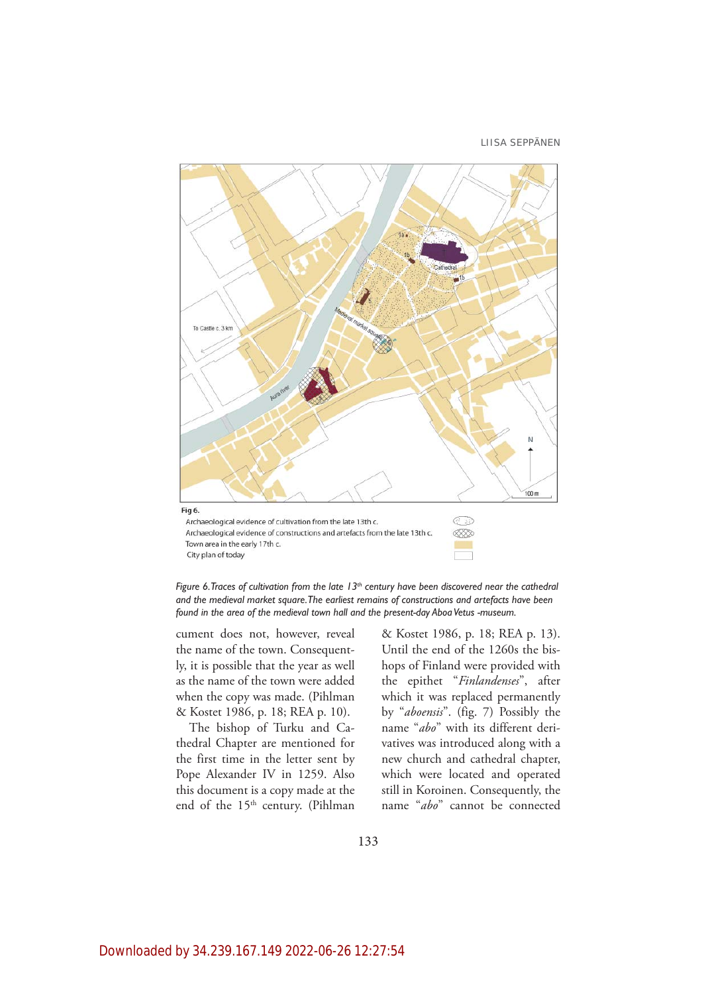

*Figure 6. Traces of cultivation from the late 13<sup>th</sup> century have been discovered near the cathedral and the medieval market square. The earliest remains of constructions and artefacts have been found in the area of the medieval town hall and the present-day Aboa Vetus -museum.*

cument does not, however, reveal the name of the town. Consequently, it is possible that the year as well as the name of the town were added when the copy was made. (Pihlman & Kostet 1986, p. 18; REA p. 10).

The bishop of Turku and Cathedral Chapter are mentioned for the first time in the letter sent by Pope Alexander IV in 1259. Also this document is a copy made at the end of the 15<sup>th</sup> century. (Pihlman & Kostet 1986, p. 18; REA p. 13). Until the end of the 1260s the bishops of Finland were provided with the epithet "*Finlandenses*", after which it was replaced permanently by "*aboensis*". (fig. 7) Possibly the name "*abo*" with its different derivatives was introduced along with a new church and cathedral chapter, which were located and operated still in Koroinen. Consequently, the name "*abo*" cannot be connected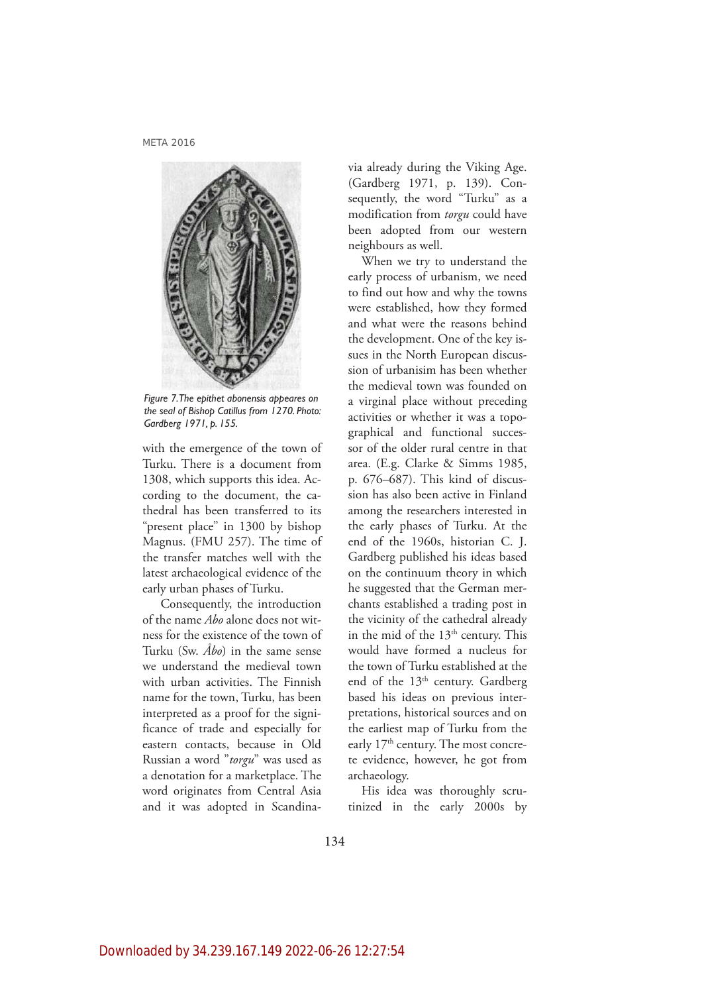

*Figure 7. The epithet abonensis appeares on the seal of Bishop Catillus from 1270. Photo: Gardberg 1971, p. 155.* 

with the emergence of the town of Turku. There is a document from 1308, which supports this idea. According to the document, the cathedral has been transferred to its "present place" in 1300 by bishop Magnus. (FMU 257). The time of the transfer matches well with the latest archaeological evidence of the early urban phases of Turku.

 Consequently, the introduction of the name *Abo* alone does not witness for the existence of the town of Turku (Sw. *Åbo*) in the same sense we understand the medieval town with urban activities. The Finnish name for the town, Turku, has been interpreted as a proof for the significance of trade and especially for eastern contacts, because in Old Russian a word "*torgu*" was used as a denotation for a marketplace. The word originates from Central Asia and it was adopted in Scandinavia already during the Viking Age. (Gardberg 1971, p. 139). Consequently, the word "Turku" as a modification from *torgu* could have been adopted from our western neighbours as well.

When we try to understand the early process of urbanism, we need to find out how and why the towns were established, how they formed and what were the reasons behind the development. One of the key issues in the North European discussion of urbanisim has been whether the medieval town was founded on a virginal place without preceding activities or whether it was a topographical and functional successor of the older rural centre in that area. (E.g. Clarke & Simms 1985, p. 676–687). This kind of discussion has also been active in Finland among the researchers interested in the early phases of Turku. At the end of the 1960s, historian C. J. Gardberg published his ideas based on the continuum theory in which he suggested that the German merchants established a trading post in the vicinity of the cathedral already in the mid of the  $13<sup>th</sup>$  century. This would have formed a nucleus for the town of Turku established at the end of the 13<sup>th</sup> century. Gardberg based his ideas on previous interpretations, historical sources and on the earliest map of Turku from the early 17<sup>th</sup> century. The most concrete evidence, however, he got from archaeology.

His idea was thoroughly scrutinized in the early 2000s by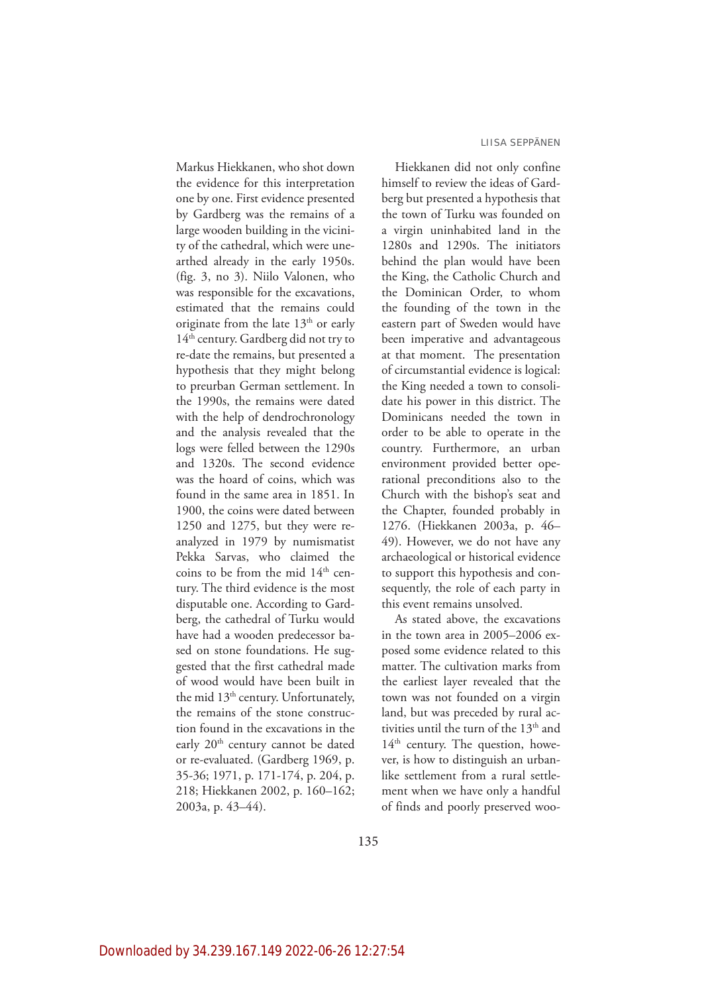Markus Hiekkanen, who shot down the evidence for this interpretation one by one. First evidence presented by Gardberg was the remains of a large wooden building in the vicinity of the cathedral, which were unearthed already in the early 1950s. (fig. 3, no 3). Niilo Valonen, who was responsible for the excavations, estimated that the remains could originate from the late  $13<sup>th</sup>$  or early 14<sup>th</sup> century. Gardberg did not try to re-date the remains, but presented a hypothesis that they might belong to preurban German settlement. In the 1990s, the remains were dated with the help of dendrochronology and the analysis revealed that the logs were felled between the 1290s and 1320s. The second evidence was the hoard of coins, which was found in the same area in 1851. In 1900, the coins were dated between 1250 and 1275, but they were reanalyzed in 1979 by numismatist Pekka Sarvas, who claimed the coins to be from the mid  $14<sup>th</sup>$  century. The third evidence is the most disputable one. According to Gardberg, the cathedral of Turku would have had a wooden predecessor based on stone foundations. He suggested that the first cathedral made of wood would have been built in the mid 13<sup>th</sup> century. Unfortunately, the remains of the stone construction found in the excavations in the early 20<sup>th</sup> century cannot be dated or re-evaluated. (Gardberg 1969, p. 35-36; 1971, p. 171-174, p. 204, p. 218; Hiekkanen 2002, p. 160–162; 2003a, p. 43–44).

Hiekkanen did not only confine himself to review the ideas of Gardberg but presented a hypothesis that the town of Turku was founded on a virgin uninhabited land in the 1280s and 1290s. The initiators behind the plan would have been the King, the Catholic Church and the Dominican Order, to whom the founding of the town in the eastern part of Sweden would have been imperative and advantageous at that moment. The presentation of circumstantial evidence is logical: the King needed a town to consolidate his power in this district. The Dominicans needed the town in order to be able to operate in the country. Furthermore, an urban environment provided better operational preconditions also to the Church with the bishop's seat and the Chapter, founded probably in 1276. (Hiekkanen 2003a, p. 46– 49). However, we do not have any archaeological or historical evidence to support this hypothesis and consequently, the role of each party in this event remains unsolved.

As stated above, the excavations in the town area in 2005–2006 exposed some evidence related to this matter. The cultivation marks from the earliest layer revealed that the town was not founded on a virgin land, but was preceded by rural activities until the turn of the 13<sup>th</sup> and  $14<sup>th</sup>$  century. The question, however, is how to distinguish an urbanlike settlement from a rural settlement when we have only a handful of finds and poorly preserved woo-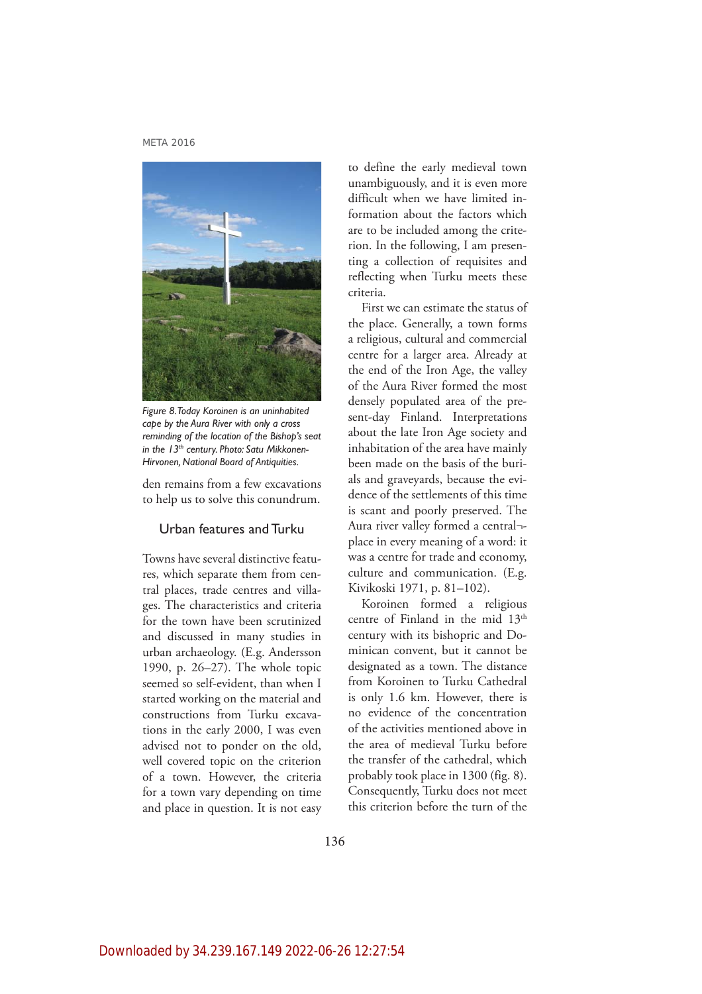

*Figure 8. Today Koroinen is an uninhabited cape by the Aura River with only a cross reminding of the location of the Bishop's seat in the 13th century. Photo: Satu Mikkonen-Hirvonen, National Board of Antiquities.* 

den remains from a few excavations to help us to solve this conundrum.

# Urban features and Turku

Towns have several distinctive features, which separate them from central places, trade centres and villages. The characteristics and criteria for the town have been scrutinized and discussed in many studies in urban archaeology. (E.g. Andersson 1990, p. 26–27). The whole topic seemed so self-evident, than when I started working on the material and constructions from Turku excavations in the early 2000, I was even advised not to ponder on the old, well covered topic on the criterion of a town. However, the criteria for a town vary depending on time and place in question. It is not easy to define the early medieval town unambiguously, and it is even more difficult when we have limited information about the factors which are to be included among the criterion. In the following, I am presenting a collection of requisites and reflecting when Turku meets these criteria.

First we can estimate the status of the place. Generally, a town forms a religious, cultural and commercial centre for a larger area. Already at the end of the Iron Age, the valley of the Aura River formed the most densely populated area of the present-day Finland. Interpretations about the late Iron Age society and inhabitation of the area have mainly been made on the basis of the burials and graveyards, because the evidence of the settlements of this time is scant and poorly preserved. The Aura river valley formed a central¬ place in every meaning of a word: it was a centre for trade and economy, culture and communication. (E.g. Kivikoski 1971, p. 81–102).

Koroinen formed a religious centre of Finland in the mid 13<sup>th</sup> century with its bishopric and Dominican convent, but it cannot be designated as a town. The distance from Koroinen to Turku Cathedral is only 1.6 km. However, there is no evidence of the concentration of the activities mentioned above in the area of medieval Turku before the transfer of the cathedral, which probably took place in 1300 (fig. 8). Consequently, Turku does not meet this criterion before the turn of the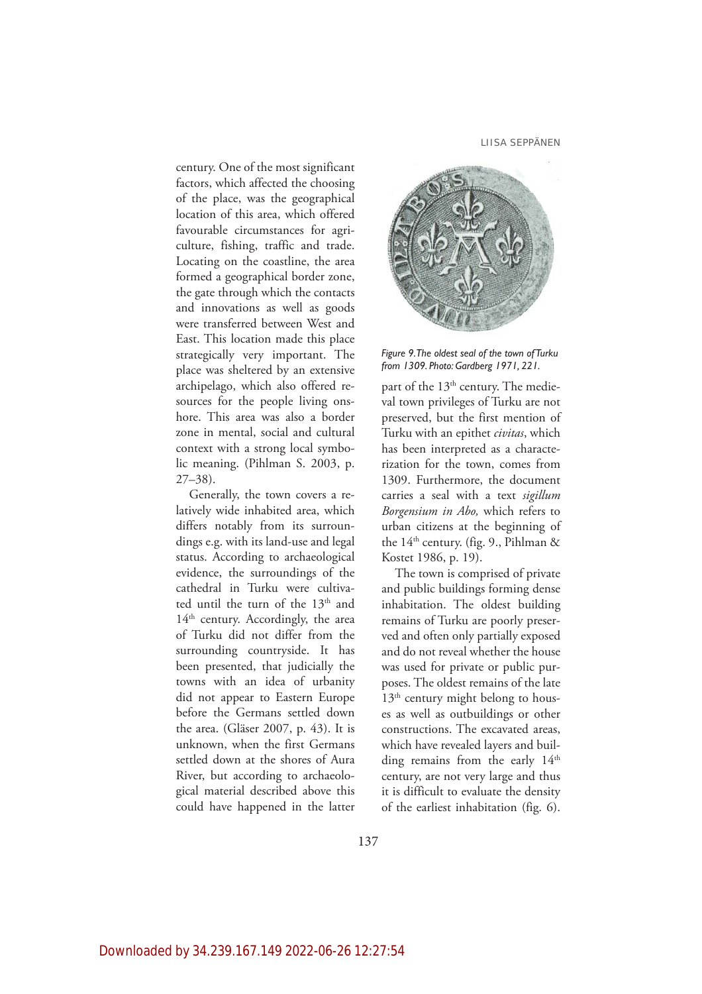LIISA SEPPÄNEN

century. One of the most significant factors, which affected the choosing of the place, was the geographical location of this area, which offered favourable circumstances for agriculture, fishing, traffic and trade. Locating on the coastline, the area formed a geographical border zone, the gate through which the contacts and innovations as well as goods were transferred between West and East. This location made this place strategically very important. The place was sheltered by an extensive archipelago, which also offered resources for the people living onshore. This area was also a border zone in mental, social and cultural context with a strong local symbolic meaning. (Pihlman S. 2003, p. 27–38).

Generally, the town covers a relatively wide inhabited area, which differs notably from its surroundings e.g. with its land-use and legal status. According to archaeological evidence, the surroundings of the cathedral in Turku were cultivated until the turn of the 13<sup>th</sup> and 14<sup>th</sup> century. Accordingly, the area of Turku did not differ from the surrounding countryside. It has been presented, that judicially the towns with an idea of urbanity did not appear to Eastern Europe before the Germans settled down the area. (Gläser 2007, p. 43). It is unknown, when the first Germans settled down at the shores of Aura River, but according to archaeological material described above this could have happened in the latter



*Figure 9. The oldest seal of the town of Turku from 1309. Photo: Gardberg 1971, 221.*

part of the 13<sup>th</sup> century. The medieval town privileges of Turku are not preserved, but the first mention of Turku with an epithet *civitas*, which has been interpreted as a characterization for the town, comes from 1309. Furthermore, the document carries a seal with a text *sigillum Borgensium in Abo,* which refers to urban citizens at the beginning of the  $14<sup>th</sup>$  century. (fig. 9., Pihlman & Kostet 1986, p. 19).

The town is comprised of private and public buildings forming dense inhabitation. The oldest building remains of Turku are poorly preserved and often only partially exposed and do not reveal whether the house was used for private or public purposes. The oldest remains of the late  $13<sup>th</sup>$  century might belong to houses as well as outbuildings or other constructions. The excavated areas, which have revealed layers and building remains from the early 14<sup>th</sup> century, are not very large and thus it is difficult to evaluate the density of the earliest inhabitation (fig. 6).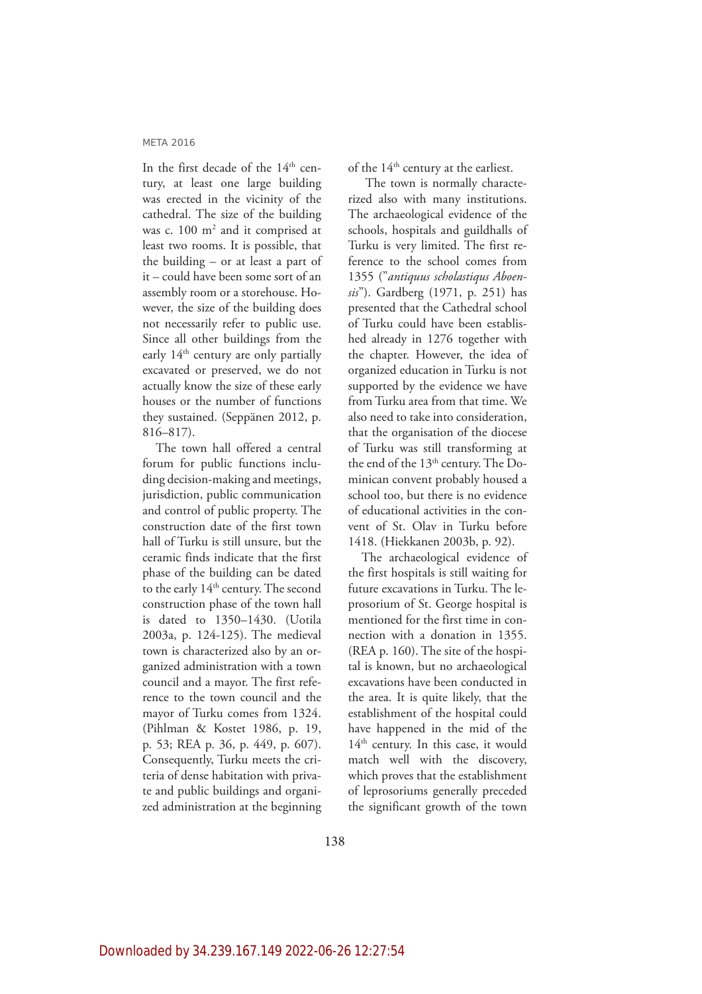In the first decade of the 14<sup>th</sup> century, at least one large building was erected in the vicinity of the cathedral. The size of the building was c. 100 m<sup>2</sup> and it comprised at least two rooms. It is possible, that the building – or at least a part of it – could have been some sort of an assembly room or a storehouse. However, the size of the building does not necessarily refer to public use. Since all other buildings from the early 14<sup>th</sup> century are only partially excavated or preserved, we do not actually know the size of these early houses or the number of functions they sustained. (Seppänen 2012, p. 816–817).

The town hall offered a central forum for public functions including decision-making and meetings, jurisdiction, public communication and control of public property. The construction date of the first town hall of Turku is still unsure, but the ceramic finds indicate that the first phase of the building can be dated to the early 14<sup>th</sup> century. The second construction phase of the town hall is dated to 1350–1430. (Uotila 2003a, p. 124-125). The medieval town is characterized also by an organized administration with a town council and a mayor. The first reference to the town council and the mayor of Turku comes from 1324. (Pihlman & Kostet 1986, p. 19, p. 53; REA p. 36, p. 449, p. 607). Consequently, Turku meets the criteria of dense habitation with private and public buildings and organized administration at the beginning of the 14<sup>th</sup> century at the earliest.

 The town is normally characterized also with many institutions. The archaeological evidence of the schools, hospitals and guildhalls of Turku is very limited. The first reference to the school comes from 1355 ("*antiquus scholastiqus Aboensis*"). Gardberg (1971, p. 251) has presented that the Cathedral school of Turku could have been established already in 1276 together with the chapter. However, the idea of organized education in Turku is not supported by the evidence we have from Turku area from that time. We also need to take into consideration, that the organisation of the diocese of Turku was still transforming at the end of the 13<sup>th</sup> century. The Dominican convent probably housed a school too, but there is no evidence of educational activities in the convent of St. Olav in Turku before 1418. (Hiekkanen 2003b, p. 92).

The archaeological evidence of the first hospitals is still waiting for future excavations in Turku. The leprosorium of St. George hospital is mentioned for the first time in connection with a donation in 1355. (REA p. 160). The site of the hospital is known, but no archaeological excavations have been conducted in the area. It is quite likely, that the establishment of the hospital could have happened in the mid of the 14<sup>th</sup> century. In this case, it would match well with the discovery, which proves that the establishment of leprosoriums generally preceded the significant growth of the town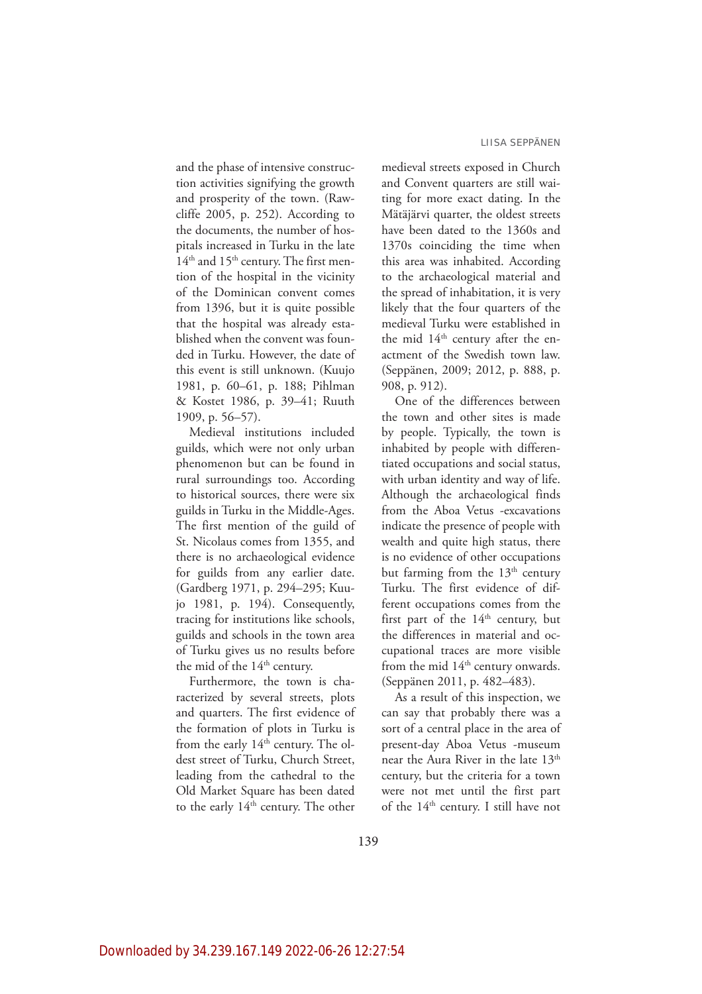and the phase of intensive construction activities signifying the growth and prosperity of the town. (Rawcliffe 2005, p. 252). According to the documents, the number of hospitals increased in Turku in the late  $14<sup>th</sup>$  and  $15<sup>th</sup>$  century. The first mention of the hospital in the vicinity of the Dominican convent comes from 1396, but it is quite possible that the hospital was already established when the convent was founded in Turku. However, the date of this event is still unknown. (Kuujo 1981, p. 60–61, p. 188; Pihlman & Kostet 1986, p. 39–41; Ruuth 1909, p. 56–57).

Medieval institutions included guilds, which were not only urban phenomenon but can be found in rural surroundings too. According to historical sources, there were six guilds in Turku in the Middle-Ages. The first mention of the guild of St. Nicolaus comes from 1355, and there is no archaeological evidence for guilds from any earlier date. (Gardberg 1971, p. 294–295; Kuujo 1981, p. 194). Consequently, tracing for institutions like schools, guilds and schools in the town area of Turku gives us no results before the mid of the 14<sup>th</sup> century.

Furthermore, the town is characterized by several streets, plots and quarters. The first evidence of the formation of plots in Turku is from the early 14<sup>th</sup> century. The oldest street of Turku, Church Street, leading from the cathedral to the Old Market Square has been dated to the early 14<sup>th</sup> century. The other

medieval streets exposed in Church and Convent quarters are still waiting for more exact dating. In the Mätäjärvi quarter, the oldest streets have been dated to the 1360s and 1370s coinciding the time when this area was inhabited. According to the archaeological material and the spread of inhabitation, it is very likely that the four quarters of the medieval Turku were established in the mid 14<sup>th</sup> century after the enactment of the Swedish town law. (Seppänen, 2009; 2012, p. 888, p. 908, p. 912).

One of the differences between the town and other sites is made by people. Typically, the town is inhabited by people with differentiated occupations and social status, with urban identity and way of life. Although the archaeological finds from the Aboa Vetus -excavations indicate the presence of people with wealth and quite high status, there is no evidence of other occupations but farming from the 13<sup>th</sup> century Turku. The first evidence of different occupations comes from the first part of the  $14<sup>th</sup>$  century, but the differences in material and occupational traces are more visible from the mid 14<sup>th</sup> century onwards. (Seppänen 2011, p. 482–483).

As a result of this inspection, we can say that probably there was a sort of a central place in the area of present-day Aboa Vetus -museum near the Aura River in the late 13<sup>th</sup> century, but the criteria for a town were not met until the first part of the 14<sup>th</sup> century. I still have not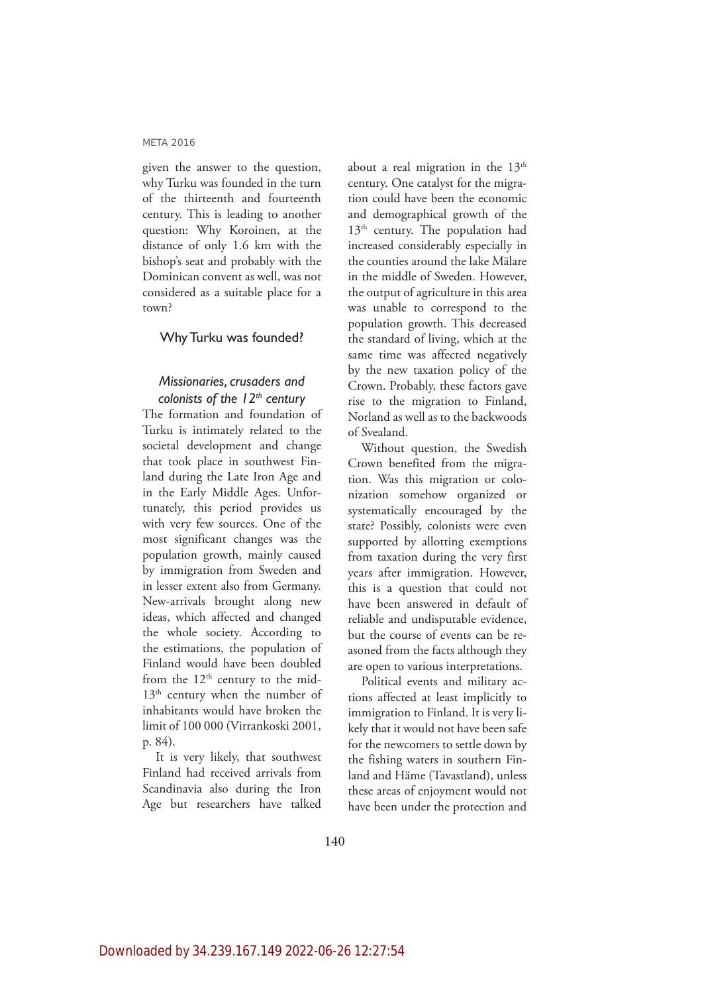given the answer to the question, why Turku was founded in the turn of the thirteenth and fourteenth century. This is leading to another question: Why Koroinen, at the distance of only 1.6 km with the bishop's seat and probably with the Dominican convent as well, was not considered as a suitable place for a town?

# Why Turku was founded?

# *Missionaries, crusaders and colonists of the 12th century*

The formation and foundation of Turku is intimately related to the societal development and change that took place in southwest Finland during the Late Iron Age and in the Early Middle Ages. Unfortunately, this period provides us with very few sources. One of the most significant changes was the population growth, mainly caused by immigration from Sweden and in lesser extent also from Germany. New-arrivals brought along new ideas, which affected and changed the whole society. According to the estimations, the population of Finland would have been doubled from the  $12<sup>th</sup>$  century to the mid-13<sup>th</sup> century when the number of inhabitants would have broken the limit of 100 000 (Virrankoski 2001, p. 84).

It is very likely, that southwest Finland had received arrivals from Scandinavia also during the Iron Age but researchers have talked

about a real migration in the  $13<sup>th</sup>$ century. One catalyst for the migration could have been the economic and demographical growth of the  $13<sup>th</sup>$  century. The population had increased considerably especially in the counties around the lake Mälare in the middle of Sweden. However, the output of agriculture in this area was unable to correspond to the population growth. This decreased the standard of living, which at the same time was affected negatively by the new taxation policy of the Crown. Probably, these factors gave rise to the migration to Finland, Norland as well as to the backwoods of Svealand.

Without question, the Swedish Crown benefited from the migration. Was this migration or colonization somehow organized or systematically encouraged by the state? Possibly, colonists were even supported by allotting exemptions from taxation during the very first years after immigration. However, this is a question that could not have been answered in default of reliable and undisputable evidence, but the course of events can be reasoned from the facts although they are open to various interpretations.

Political events and military actions affected at least implicitly to immigration to Finland. It is very likely that it would not have been safe for the newcomers to settle down by the fishing waters in southern Finland and Häme (Tavastland), unless these areas of enjoyment would not have been under the protection and

140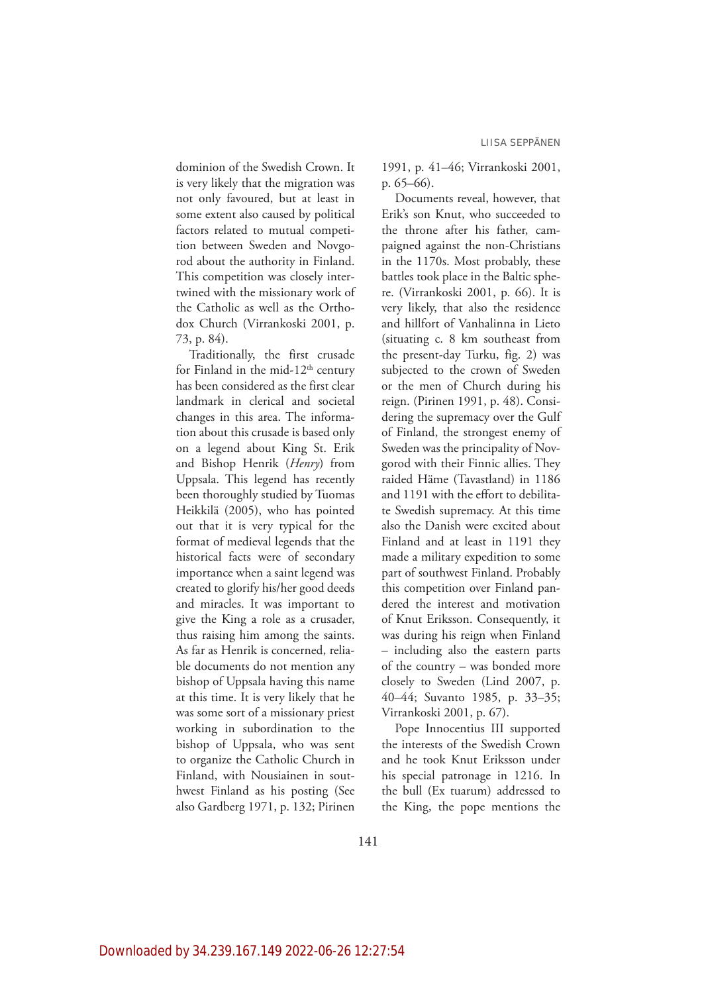dominion of the Swedish Crown. It is very likely that the migration was not only favoured, but at least in some extent also caused by political factors related to mutual competition between Sweden and Novgorod about the authority in Finland. This competition was closely intertwined with the missionary work of the Catholic as well as the Orthodox Church (Virrankoski 2001, p. 73, p. 84).

Traditionally, the first crusade for Finland in the mid- $12<sup>th</sup>$  century has been considered as the first clear landmark in clerical and societal changes in this area. The information about this crusade is based only on a legend about King St. Erik and Bishop Henrik (*Henry*) from Uppsala. This legend has recently been thoroughly studied by Tuomas Heikkilä (2005), who has pointed out that it is very typical for the format of medieval legends that the historical facts were of secondary importance when a saint legend was created to glorify his/her good deeds and miracles. It was important to give the King a role as a crusader, thus raising him among the saints. As far as Henrik is concerned, reliable documents do not mention any bishop of Uppsala having this name at this time. It is very likely that he was some sort of a missionary priest working in subordination to the bishop of Uppsala, who was sent to organize the Catholic Church in Finland, with Nousiainen in southwest Finland as his posting (See also Gardberg 1971, p. 132; Pirinen 1991, p. 41–46; Virrankoski 2001, p. 65–66).

Documents reveal, however, that Erik's son Knut, who succeeded to the throne after his father, campaigned against the non-Christians in the 1170s. Most probably, these battles took place in the Baltic sphere. (Virrankoski 2001, p. 66). It is very likely, that also the residence and hillfort of Vanhalinna in Lieto (situating c. 8 km southeast from the present-day Turku, fig. 2) was subjected to the crown of Sweden or the men of Church during his reign. (Pirinen 1991, p. 48). Considering the supremacy over the Gulf of Finland, the strongest enemy of Sweden was the principality of Novgorod with their Finnic allies. They raided Häme (Tavastland) in 1186 and 1191 with the effort to debilitate Swedish supremacy. At this time also the Danish were excited about Finland and at least in 1191 they made a military expedition to some part of southwest Finland. Probably this competition over Finland pandered the interest and motivation of Knut Eriksson. Consequently, it was during his reign when Finland – including also the eastern parts of the country – was bonded more closely to Sweden (Lind 2007, p. 40–44; Suvanto 1985, p. 33–35; Virrankoski 2001, p. 67).

Pope Innocentius III supported the interests of the Swedish Crown and he took Knut Eriksson under his special patronage in 1216. In the bull (Ex tuarum) addressed to the King, the pope mentions the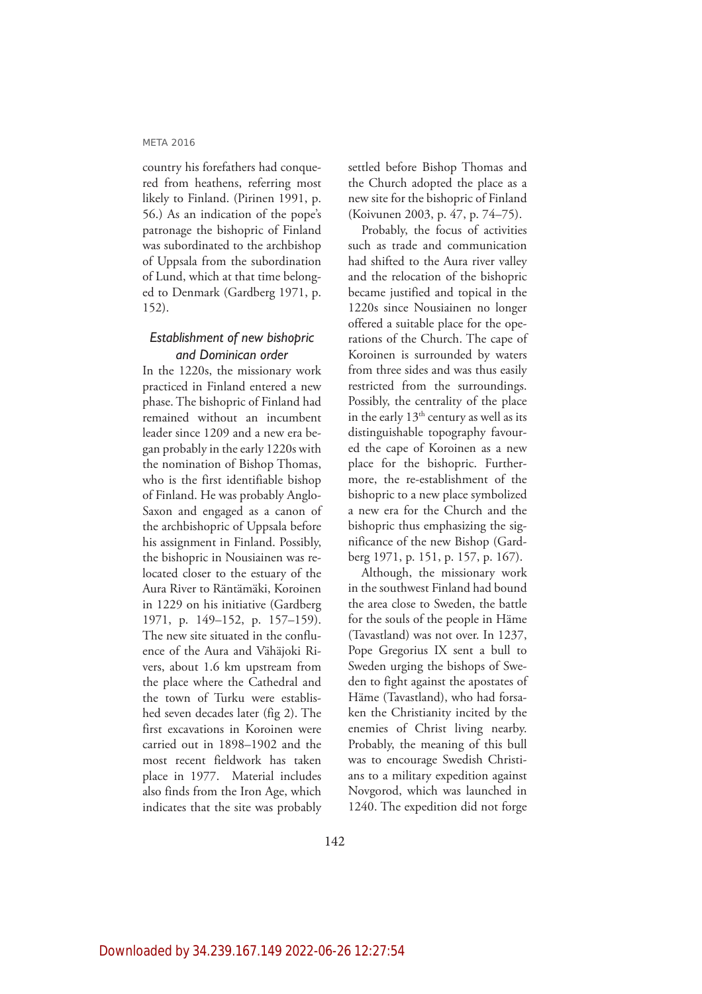country his forefathers had conquered from heathens, referring most likely to Finland. (Pirinen 1991, p. 56.) As an indication of the pope's patronage the bishopric of Finland was subordinated to the archbishop of Uppsala from the subordination of Lund, which at that time belonged to Denmark (Gardberg 1971, p. 152).

# *Establishment of new bishopric and Dominican order*

In the 1220s, the missionary work practiced in Finland entered a new phase. The bishopric of Finland had remained without an incumbent leader since 1209 and a new era began probably in the early 1220s with the nomination of Bishop Thomas, who is the first identifiable bishop of Finland. He was probably Anglo-Saxon and engaged as a canon of the archbishopric of Uppsala before his assignment in Finland. Possibly, the bishopric in Nousiainen was relocated closer to the estuary of the Aura River to Räntämäki, Koroinen in 1229 on his initiative (Gardberg 1971, p. 149–152, p. 157–159). The new site situated in the confluence of the Aura and Vähäjoki Rivers, about 1.6 km upstream from the place where the Cathedral and the town of Turku were established seven decades later (fig 2). The first excavations in Koroinen were carried out in 1898–1902 and the most recent fieldwork has taken place in 1977. Material includes also finds from the Iron Age, which indicates that the site was probably

settled before Bishop Thomas and the Church adopted the place as a new site for the bishopric of Finland (Koivunen 2003, p. 47, p. 74–75).

Probably, the focus of activities such as trade and communication had shifted to the Aura river valley and the relocation of the bishopric became justified and topical in the 1220s since Nousiainen no longer offered a suitable place for the operations of the Church. The cape of Koroinen is surrounded by waters from three sides and was thus easily restricted from the surroundings. Possibly, the centrality of the place in the early  $13<sup>th</sup>$  century as well as its distinguishable topography favoured the cape of Koroinen as a new place for the bishopric. Furthermore, the re-establishment of the bishopric to a new place symbolized a new era for the Church and the bishopric thus emphasizing the significance of the new Bishop (Gardberg 1971, p. 151, p. 157, p. 167).

Although, the missionary work in the southwest Finland had bound the area close to Sweden, the battle for the souls of the people in Häme (Tavastland) was not over. In 1237, Pope Gregorius IX sent a bull to Sweden urging the bishops of Sweden to fight against the apostates of Häme (Tavastland), who had forsaken the Christianity incited by the enemies of Christ living nearby. Probably, the meaning of this bull was to encourage Swedish Christians to a military expedition against Novgorod, which was launched in 1240. The expedition did not forge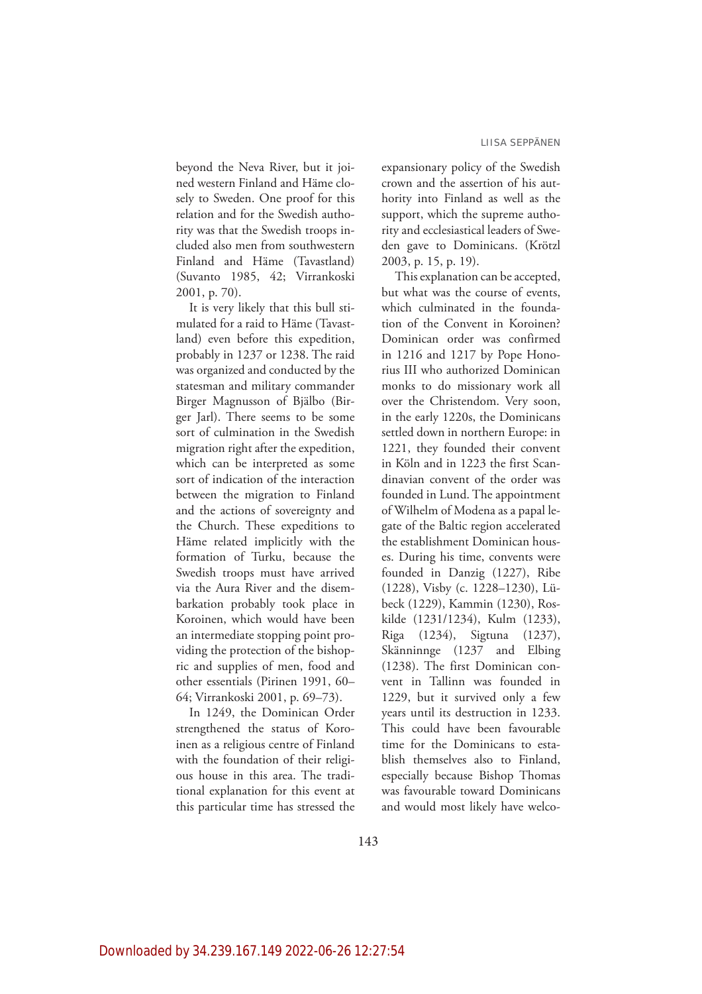beyond the Neva River, but it joined western Finland and Häme closely to Sweden. One proof for this relation and for the Swedish authority was that the Swedish troops included also men from southwestern Finland and Häme (Tavastland) (Suvanto 1985, 42; Virrankoski 2001, p. 70).

It is very likely that this bull stimulated for a raid to Häme (Tavastland) even before this expedition, probably in 1237 or 1238. The raid was organized and conducted by the statesman and military commander Birger Magnusson of Bjälbo (Birger Jarl). There seems to be some sort of culmination in the Swedish migration right after the expedition, which can be interpreted as some sort of indication of the interaction between the migration to Finland and the actions of sovereignty and the Church. These expeditions to Häme related implicitly with the formation of Turku, because the Swedish troops must have arrived via the Aura River and the disembarkation probably took place in Koroinen, which would have been an intermediate stopping point providing the protection of the bishopric and supplies of men, food and other essentials (Pirinen 1991, 60– 64; Virrankoski 2001, p. 69–73).

In 1249, the Dominican Order strengthened the status of Koroinen as a religious centre of Finland with the foundation of their religious house in this area. The traditional explanation for this event at this particular time has stressed the expansionary policy of the Swedish crown and the assertion of his authority into Finland as well as the support, which the supreme authority and ecclesiastical leaders of Sweden gave to Dominicans. (Krötzl 2003, p. 15, p. 19).

This explanation can be accepted, but what was the course of events, which culminated in the foundation of the Convent in Koroinen? Dominican order was confirmed in 1216 and 1217 by Pope Honorius III who authorized Dominican monks to do missionary work all over the Christendom. Very soon, in the early 1220s, the Dominicans settled down in northern Europe: in 1221, they founded their convent in Köln and in 1223 the first Scandinavian convent of the order was founded in Lund. The appointment of Wilhelm of Modena as a papal legate of the Baltic region accelerated the establishment Dominican houses. During his time, convents were founded in Danzig (1227), Ribe (1228), Visby (c. 1228–1230), Lübeck (1229), Kammin (1230), Roskilde (1231/1234), Kulm (1233), Riga (1234), Sigtuna (1237), Skänninnge (1237 and Elbing (1238). The first Dominican convent in Tallinn was founded in 1229, but it survived only a few years until its destruction in 1233. This could have been favourable time for the Dominicans to establish themselves also to Finland, especially because Bishop Thomas was favourable toward Dominicans and would most likely have welco-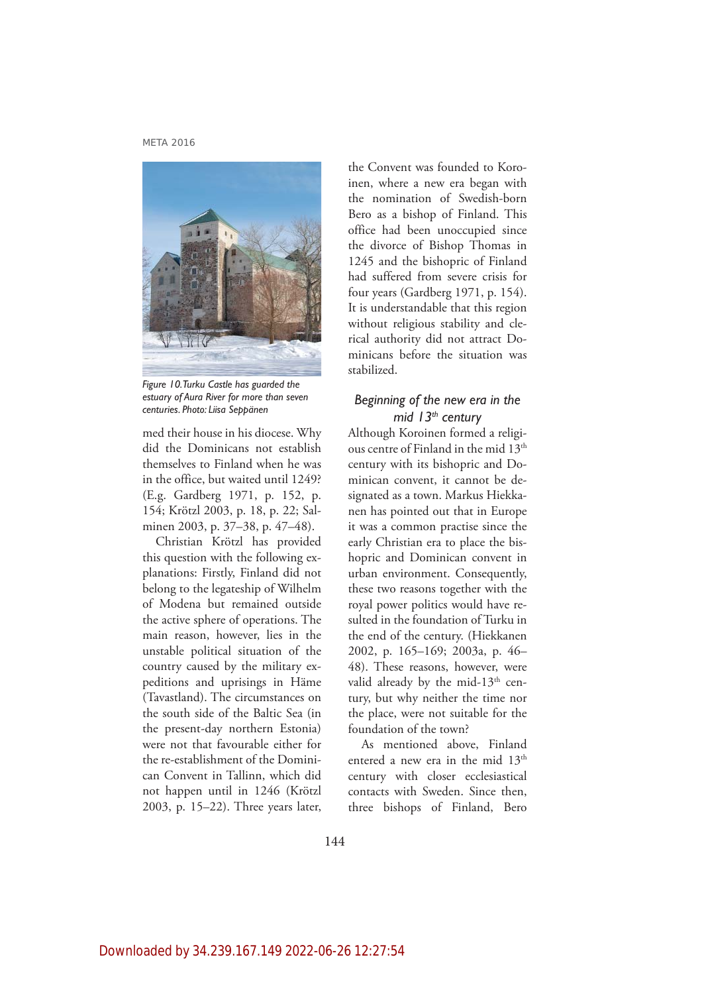

*Figure 10. Turku Castle has guarded the estuary of Aura River for more than seven centuries. Photo: Liisa Seppänen*

med their house in his diocese. Why did the Dominicans not establish themselves to Finland when he was in the office, but waited until 1249? (E.g. Gardberg 1971, p. 152, p. 154; Krötzl 2003, p. 18, p. 22; Salminen 2003, p. 37–38, p. 47–48).

Christian Krötzl has provided this question with the following explanations: Firstly, Finland did not belong to the legateship of Wilhelm of Modena but remained outside the active sphere of operations. The main reason, however, lies in the unstable political situation of the country caused by the military expeditions and uprisings in Häme (Tavastland). The circumstances on the south side of the Baltic Sea (in the present-day northern Estonia) were not that favourable either for the re-establishment of the Dominican Convent in Tallinn, which did not happen until in 1246 (Krötzl 2003, p. 15–22). Three years later, the Convent was founded to Koroinen, where a new era began with the nomination of Swedish-born Bero as a bishop of Finland. This office had been unoccupied since the divorce of Bishop Thomas in 1245 and the bishopric of Finland had suffered from severe crisis for four years (Gardberg 1971, p. 154). It is understandable that this region without religious stability and clerical authority did not attract Dominicans before the situation was stabilized.

# *Beginning of the new era in the mid 13th century*

Although Koroinen formed a religious centre of Finland in the mid 13<sup>th</sup> century with its bishopric and Dominican convent, it cannot be designated as a town. Markus Hiekkanen has pointed out that in Europe it was a common practise since the early Christian era to place the bishopric and Dominican convent in urban environment. Consequently, these two reasons together with the royal power politics would have resulted in the foundation of Turku in the end of the century. (Hiekkanen 2002, p. 165–169; 2003a, p. 46– 48). These reasons, however, were valid already by the mid- $13<sup>th</sup>$  century, but why neither the time nor the place, were not suitable for the foundation of the town?

As mentioned above, Finland entered a new era in the mid 13<sup>th</sup> century with closer ecclesiastical contacts with Sweden. Since then, three bishops of Finland, Bero

144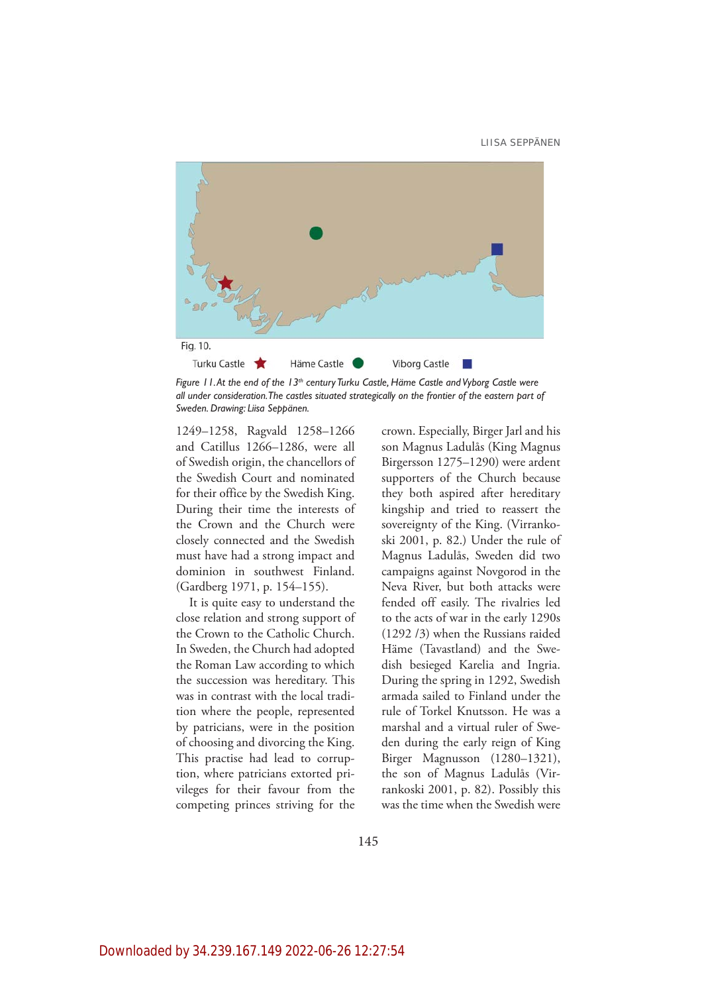

Figure 11. At the end of the 13<sup>th</sup> century Turku Castle, Häme Castle and Vyborg Castle were *all under consideration. The castles situated strategically on the frontier of the eastern part of Sweden. Drawing: Liisa Seppänen.*

1249–1258, Ragvald 1258–1266 and Catillus 1266–1286, were all of Swedish origin, the chancellors of the Swedish Court and nominated for their office by the Swedish King. During their time the interests of the Crown and the Church were closely connected and the Swedish must have had a strong impact and dominion in southwest Finland. (Gardberg 1971, p. 154–155).

It is quite easy to understand the close relation and strong support of the Crown to the Catholic Church. In Sweden, the Church had adopted the Roman Law according to which the succession was hereditary. This was in contrast with the local tradition where the people, represented by patricians, were in the position of choosing and divorcing the King. This practise had lead to corruption, where patricians extorted privileges for their favour from the competing princes striving for the

crown. Especially, Birger Jarl and his son Magnus Ladulås (King Magnus Birgersson 1275–1290) were ardent supporters of the Church because they both aspired after hereditary kingship and tried to reassert the sovereignty of the King. (Virrankoski 2001, p. 82.) Under the rule of Magnus Ladulås, Sweden did two campaigns against Novgorod in the Neva River, but both attacks were fended off easily. The rivalries led to the acts of war in the early 1290s (1292 /3) when the Russians raided Häme (Tavastland) and the Swedish besieged Karelia and Ingria. During the spring in 1292, Swedish armada sailed to Finland under the rule of Torkel Knutsson. He was a marshal and a virtual ruler of Sweden during the early reign of King Birger Magnusson (1280–1321), the son of Magnus Ladulås (Virrankoski 2001, p. 82). Possibly this was the time when the Swedish were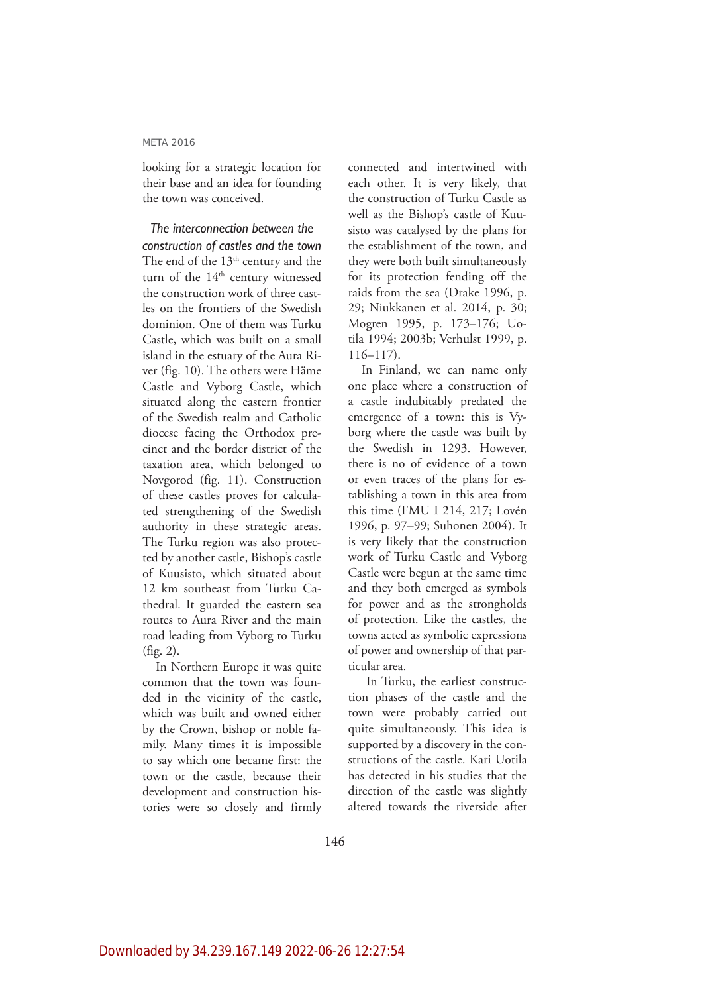looking for a strategic location for their base and an idea for founding the town was conceived.

*The interconnection between the construction of castles and the town* The end of the 13<sup>th</sup> century and the turn of the 14<sup>th</sup> century witnessed the construction work of three castles on the frontiers of the Swedish dominion. One of them was Turku Castle, which was built on a small island in the estuary of the Aura River (fig. 10). The others were Häme Castle and Vyborg Castle, which situated along the eastern frontier of the Swedish realm and Catholic diocese facing the Orthodox precinct and the border district of the taxation area, which belonged to Novgorod (fig. 11). Construction of these castles proves for calculated strengthening of the Swedish authority in these strategic areas. The Turku region was also protected by another castle, Bishop's castle of Kuusisto, which situated about 12 km southeast from Turku Cathedral. It guarded the eastern sea routes to Aura River and the main road leading from Vyborg to Turku (fig. 2).

In Northern Europe it was quite common that the town was founded in the vicinity of the castle, which was built and owned either by the Crown, bishop or noble family. Many times it is impossible to say which one became first: the town or the castle, because their development and construction histories were so closely and firmly connected and intertwined with each other. It is very likely, that the construction of Turku Castle as well as the Bishop's castle of Kuusisto was catalysed by the plans for the establishment of the town, and they were both built simultaneously for its protection fending off the raids from the sea (Drake 1996, p. 29; Niukkanen et al. 2014, p. 30; Mogren 1995, p. 173–176; Uotila 1994; 2003b; Verhulst 1999, p. 116–117).

In Finland, we can name only one place where a construction of a castle indubitably predated the emergence of a town: this is Vyborg where the castle was built by the Swedish in 1293. However, there is no of evidence of a town or even traces of the plans for establishing a town in this area from this time (FMU I 214, 217; Lovén 1996, p. 97–99; Suhonen 2004). It is very likely that the construction work of Turku Castle and Vyborg Castle were begun at the same time and they both emerged as symbols for power and as the strongholds of protection. Like the castles, the towns acted as symbolic expressions of power and ownership of that particular area.

 In Turku, the earliest construction phases of the castle and the town were probably carried out quite simultaneously. This idea is supported by a discovery in the constructions of the castle. Kari Uotila has detected in his studies that the direction of the castle was slightly altered towards the riverside after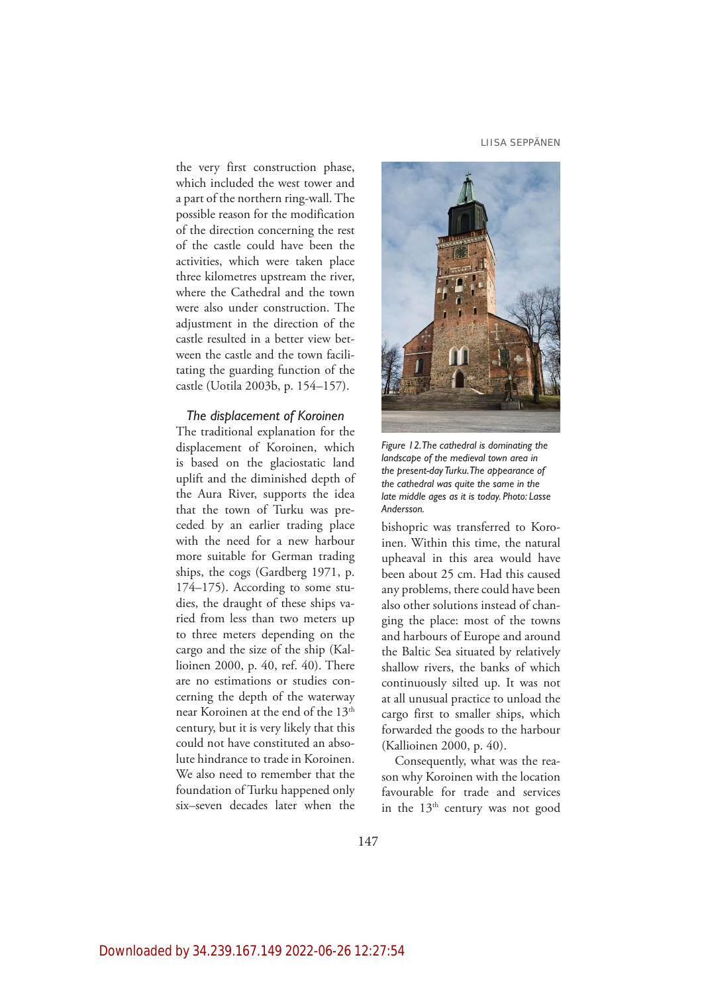the very first construction phase, which included the west tower and a part of the northern ring-wall. The possible reason for the modification of the direction concerning the rest of the castle could have been the activities, which were taken place three kilometres upstream the river, where the Cathedral and the town were also under construction. The adjustment in the direction of the castle resulted in a better view between the castle and the town facilitating the guarding function of the castle (Uotila 2003b, p. 154–157).

## *The displacement of Koroinen*

The traditional explanation for the displacement of Koroinen, which is based on the glaciostatic land uplift and the diminished depth of the Aura River, supports the idea that the town of Turku was preceded by an earlier trading place with the need for a new harbour more suitable for German trading ships, the cogs (Gardberg 1971, p. 174–175). According to some studies, the draught of these ships varied from less than two meters up to three meters depending on the cargo and the size of the ship (Kallioinen 2000, p. 40, ref. 40). There are no estimations or studies concerning the depth of the waterway near Koroinen at the end of the 13<sup>th</sup> century, but it is very likely that this could not have constituted an absolute hindrance to trade in Koroinen. We also need to remember that the foundation of Turku happened only six–seven decades later when the



*Figure 12. The cathedral is dominating the landscape of the medieval town area in the present-day Turku. The appearance of the cathedral was quite the same in the late middle ages as it is today. Photo: Lasse Andersson.* 

bishopric was transferred to Koroinen. Within this time, the natural upheaval in this area would have been about 25 cm. Had this caused any problems, there could have been also other solutions instead of changing the place: most of the towns and harbours of Europe and around the Baltic Sea situated by relatively shallow rivers, the banks of which continuously silted up. It was not at all unusual practice to unload the cargo first to smaller ships, which forwarded the goods to the harbour (Kallioinen 2000, p. 40).

Consequently, what was the reason why Koroinen with the location favourable for trade and services in the  $13<sup>th</sup>$  century was not good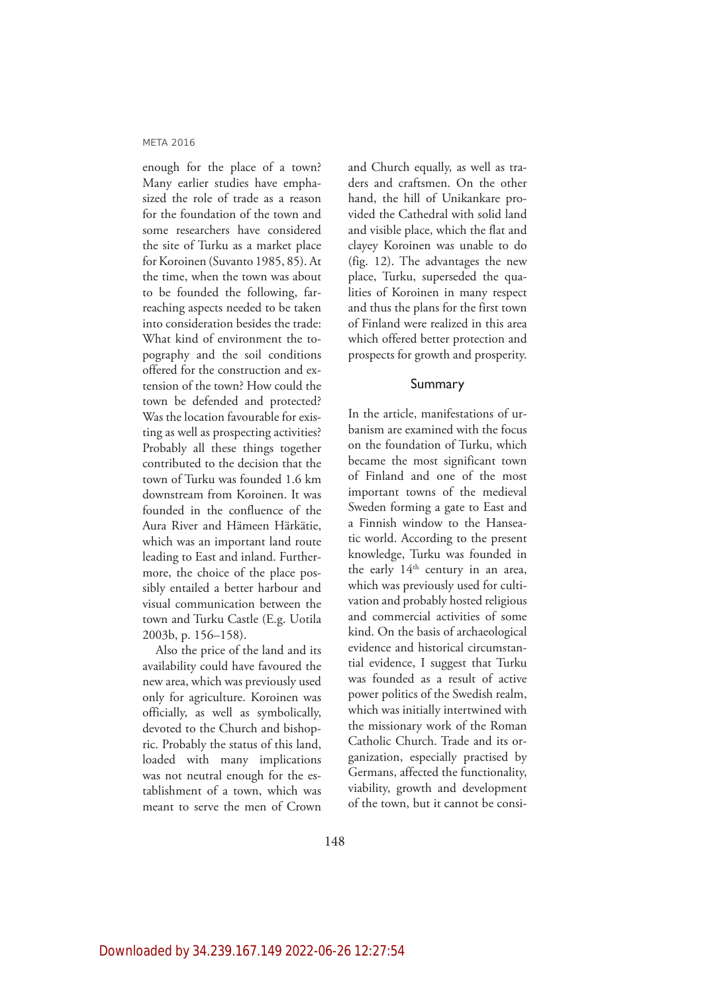enough for the place of a town? Many earlier studies have emphasized the role of trade as a reason for the foundation of the town and some researchers have considered the site of Turku as a market place for Koroinen (Suvanto 1985, 85). At the time, when the town was about to be founded the following, farreaching aspects needed to be taken into consideration besides the trade: What kind of environment the topography and the soil conditions offered for the construction and extension of the town? How could the town be defended and protected? Was the location favourable for existing as well as prospecting activities? Probably all these things together contributed to the decision that the town of Turku was founded 1.6 km downstream from Koroinen. It was founded in the confluence of the Aura River and Hämeen Härkätie, which was an important land route leading to East and inland. Furthermore, the choice of the place possibly entailed a better harbour and visual communication between the town and Turku Castle (E.g. Uotila 2003b, p. 156–158).

Also the price of the land and its availability could have favoured the new area, which was previously used only for agriculture. Koroinen was officially, as well as symbolically, devoted to the Church and bishopric. Probably the status of this land, loaded with many implications was not neutral enough for the establishment of a town, which was meant to serve the men of Crown

and Church equally, as well as traders and craftsmen. On the other hand, the hill of Unikankare provided the Cathedral with solid land and visible place, which the flat and clayey Koroinen was unable to do (fig. 12). The advantages the new place, Turku, superseded the qualities of Koroinen in many respect and thus the plans for the first town of Finland were realized in this area which offered better protection and prospects for growth and prosperity.

## Summary

In the article, manifestations of urbanism are examined with the focus on the foundation of Turku, which became the most significant town of Finland and one of the most important towns of the medieval Sweden forming a gate to East and a Finnish window to the Hanseatic world. According to the present knowledge, Turku was founded in the early 14<sup>th</sup> century in an area, which was previously used for cultivation and probably hosted religious and commercial activities of some kind. On the basis of archaeological evidence and historical circumstantial evidence, I suggest that Turku was founded as a result of active power politics of the Swedish realm, which was initially intertwined with the missionary work of the Roman Catholic Church. Trade and its organization, especially practised by Germans, affected the functionality, viability, growth and development of the town, but it cannot be consi-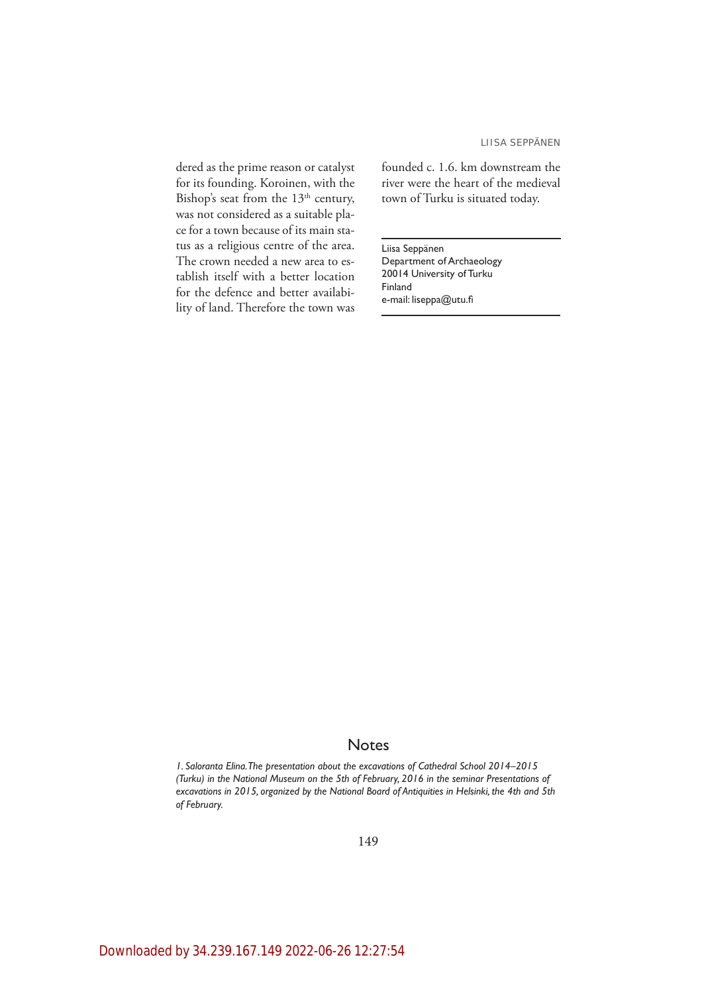dered as the prime reason or catalyst for its founding. Koroinen, with the Bishop's seat from the  $13<sup>th</sup>$  century, was not considered as a suitable place for a town because of its main status as a religious centre of the area. The crown needed a new area to establish itself with a better location for the defence and better availability of land. Therefore the town was founded c. 1.6. km downstream the river were the heart of the medieval town of Turku is situated today.

Liisa Seppänen Department of Archaeology 20014 University of Turku Finland e-mail: liseppa@utu.fi

# **Notes**

*1. Saloranta Elina. The presentation about the excavations of Cathedral School 2014–2015 (Turku) in the National Museum on the 5th of February, 2016 in the seminar Presentations of excavations in 2015, organized by the National Board of Antiquities in Helsinki, the 4th and 5th of February.*

149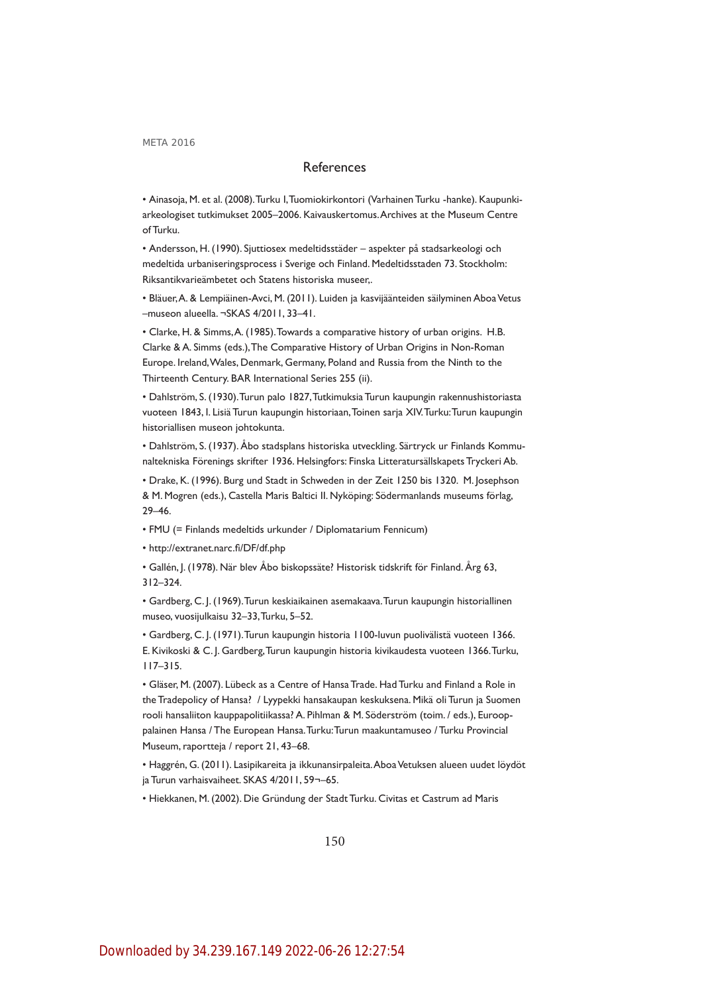# References

• Ainasoja, M. et al. (2008). Turku I, Tuomiokirkontori (Varhainen Turku -hanke). Kaupunkiarkeologiset tutkimukset 2005–2006. Kaivauskertomus. Archives at the Museum Centre of Turku.

• Andersson, H. (1990). Sjuttiosex medeltidsstäder – aspekter på stadsarkeologi och medeltida urbaniseringsprocess i Sverige och Finland. Medeltidsstaden 73. Stockholm: Riksantikvarieämbetet och Statens historiska museer,.

• Bläuer, A. & Lempiäinen-Avci, M. (2011). Luiden ja kasvijäänteiden säilyminen Aboa Vetus –museon alueella. ¬SKAS 4/2011, 33–41.

• Clarke, H. & Simms, A. (1985). Towards a comparative history of urban origins. H.B. Clarke & A. Simms (eds.), The Comparative History of Urban Origins in Non-Roman Europe. Ireland, Wales, Denmark, Germany, Poland and Russia from the Ninth to the Thirteenth Century. BAR International Series 255 (ii).

• Dahlström, S. (1930). Turun palo 1827, Tutkimuksia Turun kaupungin rakennushistoriasta vuoteen 1843, I. Lisiä Turun kaupungin historiaan, Toinen sarja XIV. Turku: Turun kaupungin historiallisen museon johtokunta.

• Dahlström, S. (1937). Åbo stadsplans historiska utveckling. Särtryck ur Finlands Kommunaltekniska Förenings skrifter 1936. Helsingfors: Finska Litteratursällskapets Tryckeri Ab.

• Drake, K. (1996). Burg und Stadt in Schweden in der Zeit 1250 bis 1320. M. Josephson & M. Mogren (eds.), Castella Maris Baltici II. Nyköping: Södermanlands museums förlag, 29–46.

• FMU (= Finlands medeltids urkunder / Diplomatarium Fennicum)

• http://extranet.narc.fi/DF/df.php

• Gallén, J. (1978). När blev Åbo biskopssäte? Historisk tidskrift för Finland. Årg 63, 312–324.

• Gardberg, C. J. (1969). Turun keskiaikainen asemakaava. Turun kaupungin historiallinen museo, vuosijulkaisu 32–33, Turku, 5–52.

• Gardberg, C. J. (1971). Turun kaupungin historia 1100-luvun puolivälistä vuoteen 1366. E. Kivikoski & C. J. Gardberg, Turun kaupungin historia kivikaudesta vuoteen 1366. Turku, 117–315.

• Gläser, M. (2007). Lübeck as a Centre of Hansa Trade. Had Turku and Finland a Role in the Tradepolicy of Hansa? / Lyypekki hansakaupan keskuksena. Mikä oli Turun ja Suomen rooli hansaliiton kauppapolitiikassa? A. Pihlman & M. Söderström (toim. / eds.), Eurooppalainen Hansa / The European Hansa. Turku: Turun maakuntamuseo / Turku Provincial Museum, raportteja / report 21, 43–68.

• Haggrén, G. (2011). Lasipikareita ja ikkunansirpaleita. Aboa Vetuksen alueen uudet löydöt ja Turun varhaisvaiheet. SKAS 4/2011, 59¬–65.

• Hiekkanen, M. (2002). Die Gründung der Stadt Turku. Civitas et Castrum ad Maris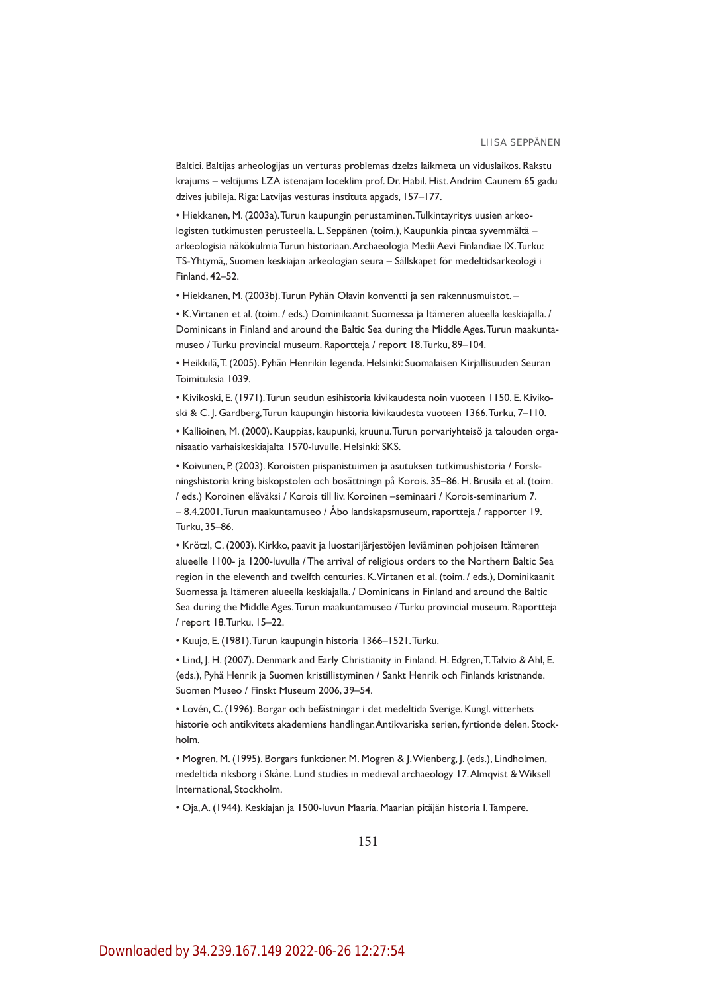Baltici. Baltijas arheologijas un verturas problemas dzelzs laikmeta un viduslaikos. Rakstu krajums – veltijums LZA istenajam loceklim prof. Dr. Habil. Hist. Andrim Caunem 65 gadu dzives jubileja. Riga: Latvijas vesturas instituta apgads, 157–177.

• Hiekkanen, M. (2003a). Turun kaupungin perustaminen. Tulkintayritys uusien arkeologisten tutkimusten perusteella. L. Seppänen (toim.), Kaupunkia pintaa syvemmältä – arkeologisia näkökulmia Turun historiaan. Archaeologia Medii Aevi Finlandiae IX. Turku: TS-Yhtymä,, Suomen keskiajan arkeologian seura – Sällskapet för medeltidsarkeologi i Finland, 42–52.

• Hiekkanen, M. (2003b). Turun Pyhän Olavin konventti ja sen rakennusmuistot. –

• K. Virtanen et al. (toim. / eds.) Dominikaanit Suomessa ja Itämeren alueella keskiajalla. / Dominicans in Finland and around the Baltic Sea during the Middle Ages. Turun maakuntamuseo / Turku provincial museum. Raportteja / report 18. Turku, 89–104.

• Heikkilä, T. (2005). Pyhän Henrikin legenda. Helsinki: Suomalaisen Kirjallisuuden Seuran Toimituksia 1039.

• Kivikoski, E. (1971). Turun seudun esihistoria kivikaudesta noin vuoteen 1150. E. Kivikoski & C. J. Gardberg, Turun kaupungin historia kivikaudesta vuoteen 1366. Turku, 7–110.

• Kallioinen, M. (2000). Kauppias, kaupunki, kruunu. Turun porvariyhteisö ja talouden organisaatio varhaiskeskiajalta 1570-luvulle. Helsinki: SKS.

• Koivunen, P. (2003). Koroisten piispanistuimen ja asutuksen tutkimushistoria / Forskningshistoria kring biskopstolen och bosättningn på Korois. 35–86. H. Brusila et al. (toim. / eds.) Koroinen eläväksi / Korois till liv. Koroinen –seminaari / Korois-seminarium 7. – 8.4.2001. Turun maakuntamuseo / Åbo landskapsmuseum, raportteja / rapporter 19. Turku, 35–86.

• Krötzl, C. (2003). Kirkko, paavit ja luostarijärjestöjen leviäminen pohjoisen Itämeren alueelle 1100- ja 1200-luvulla / The arrival of religious orders to the Northern Baltic Sea region in the eleventh and twelfth centuries. K. Virtanen et al. (toim. / eds.), Dominikaanit Suomessa ja Itämeren alueella keskiajalla. / Dominicans in Finland and around the Baltic Sea during the Middle Ages. Turun maakuntamuseo / Turku provincial museum. Raportteja / report 18. Turku, 15–22.

• Kuujo, E. (1981). Turun kaupungin historia 1366–1521. Turku.

• Lind, J. H. (2007). Denmark and Early Christianity in Finland. H. Edgren, T. Talvio & Ahl, E. (eds.), Pyhä Henrik ja Suomen kristillistyminen / Sankt Henrik och Finlands kristnande. Suomen Museo / Finskt Museum 2006, 39–54.

• Lovén, C. (1996). Borgar och befästningar i det medeltida Sverige. Kungl. vitterhets historie och antikvitets akademiens handlingar. Antikvariska serien, fyrtionde delen. Stockholm.

• Mogren, M. (1995). Borgars funktioner. M. Mogren & J. Wienberg, J. (eds.), Lindholmen, medeltida riksborg i Skåne. Lund studies in medieval archaeology 17. Almqvist & Wiksell International, Stockholm.

• Oja, A. (1944). Keskiajan ja 1500-luvun Maaria. Maarian pitäjän historia I. Tampere.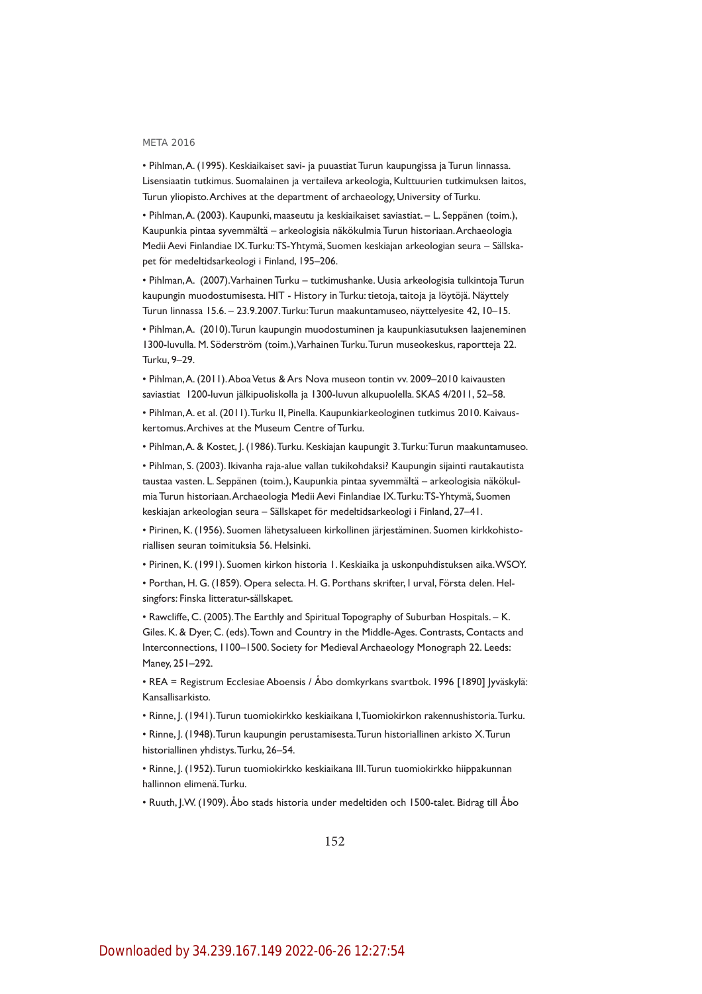• Pihlman, A. (1995). Keskiaikaiset savi- ja puuastiat Turun kaupungissa ja Turun linnassa. Lisensiaatin tutkimus. Suomalainen ja vertaileva arkeologia, Kulttuurien tutkimuksen laitos, Turun yliopisto. Archives at the department of archaeology, University of Turku.

• Pihlman, A. (2003). Kaupunki, maaseutu ja keskiaikaiset saviastiat. – L. Seppänen (toim.), Kaupunkia pintaa syvemmältä – arkeologisia näkökulmia Turun historiaan. Archaeologia Medii Aevi Finlandiae IX. Turku: TS-Yhtymä, Suomen keskiajan arkeologian seura – Sällskapet för medeltidsarkeologi i Finland, 195–206.

• Pihlman, A. (2007). Varhainen Turku – tutkimushanke. Uusia arkeologisia tulkintoja Turun kaupungin muodostumisesta. HIT - History in Turku: tietoja, taitoja ja löytöjä. Näyttely Turun linnassa 15.6. – 23.9.2007. Turku: Turun maakuntamuseo, näyttelyesite 42, 10–15.

• Pihlman, A. (2010). Turun kaupungin muodostuminen ja kaupunkiasutuksen laajeneminen 1300-luvulla. M. Söderström (toim.), Varhainen Turku. Turun museokeskus, raportteja 22. Turku, 9–29.

• Pihlman, A. (2011). Aboa Vetus & Ars Nova museon tontin vv. 2009–2010 kaivausten saviastiat 1200-luvun jälkipuoliskolla ja 1300-luvun alkupuolella. SKAS 4/2011, 52–58.

• Pihlman, A. et al. (2011). Turku II, Pinella. Kaupunkiarkeologinen tutkimus 2010. Kaivauskertomus. Archives at the Museum Centre of Turku.

• Pihlman, A. & Kostet, J. (1986). Turku. Keskiajan kaupungit 3. Turku: Turun maakuntamuseo.

• Pihlman, S. (2003). Ikivanha raja-alue vallan tukikohdaksi? Kaupungin sijainti rautakautista taustaa vasten. L. Seppänen (toim.), Kaupunkia pintaa syvemmältä – arkeologisia näkökulmia Turun historiaan. Archaeologia Medii Aevi Finlandiae IX. Turku: TS-Yhtymä, Suomen keskiajan arkeologian seura – Sällskapet för medeltidsarkeologi i Finland, 27–41.

• Pirinen, K. (1956). Suomen lähetysalueen kirkollinen järjestäminen. Suomen kirkkohistoriallisen seuran toimituksia 56. Helsinki.

• Pirinen, K. (1991). Suomen kirkon historia 1. Keskiaika ja uskonpuhdistuksen aika. WSOY.

• Porthan, H. G. (1859). Opera selecta. H. G. Porthans skrifter, I urval, Första delen. Helsingfors: Finska litteratur-sällskapet.

• Rawcliffe, C. (2005). The Earthly and Spiritual Topography of Suburban Hospitals. – K. Giles. K. & Dyer, C. (eds). Town and Country in the Middle-Ages. Contrasts, Contacts and Interconnections, 1100–1500. Society for Medieval Archaeology Monograph 22. Leeds: Maney, 251–292.

• REA = Registrum Ecclesiae Aboensis / Åbo domkyrkans svartbok. 1996 [1890] Jyväskylä: Kansallisarkisto.

• Rinne, J. (1941). Turun tuomiokirkko keskiaikana I, Tuomiokirkon rakennushistoria. Turku.

• Rinne, J. (1948). Turun kaupungin perustamisesta. Turun historiallinen arkisto X. Turun historiallinen yhdistys. Turku, 26–54.

• Rinne, J. (1952). Turun tuomiokirkko keskiaikana III. Turun tuomiokirkko hiippakunnan hallinnon elimenä. Turku.

• Ruuth, J.W. (1909). Åbo stads historia under medeltiden och 1500-talet. Bidrag till Åbo